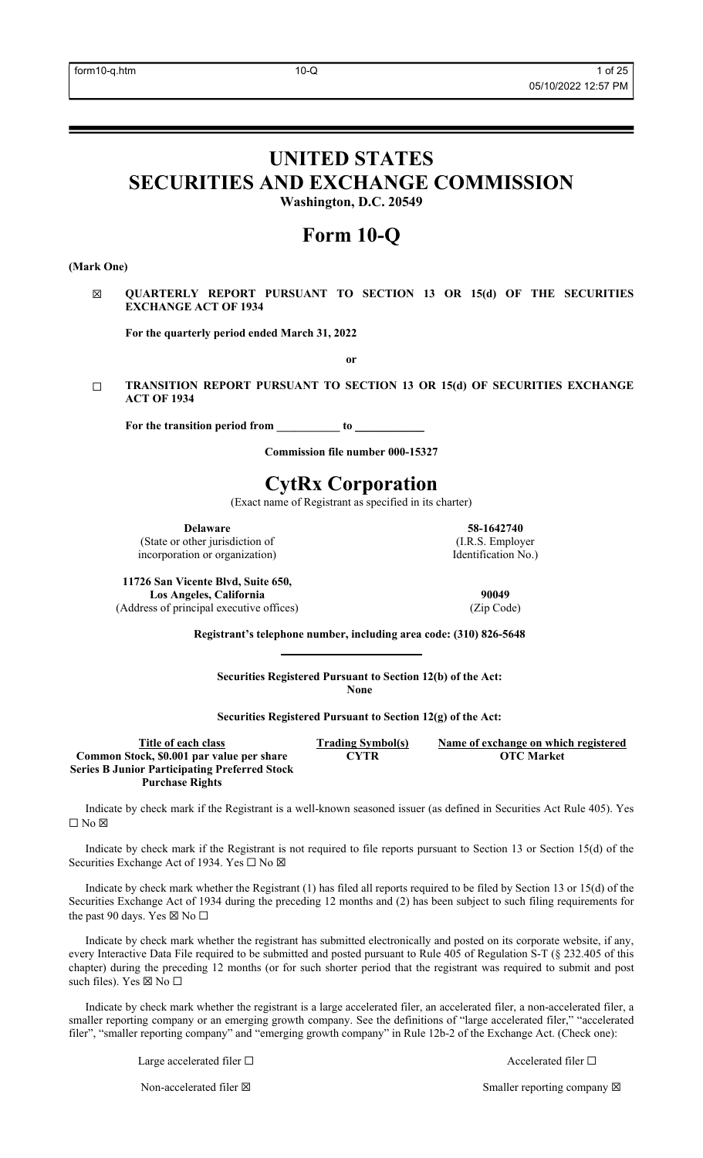# **UNITED STATES SECURITIES AND EXCHANGE COMMISSION**

**Washington, D.C. 20549**

# **Form 10-Q**

**(Mark One)**

ց **QUARTERLY REPORT PURSUANT TO SECTION 13 OR 15(d) OF THE SECURITIES EXCHANGE ACT OF 1934**

**For the quarterly period ended March 31, 2022** 

**or**

տ **TRANSITION REPORT PURSUANT TO SECTION 13 OR 15(d) OF SECURITIES EXCHANGE ACT OF 1934**

**For the transition period from \_\_\_\_\_\_\_\_\_\_\_ to \_\_\_\_\_\_\_\_\_\_\_\_**

**Commission file number 000-15327**

# **CytRx Corporation**

(Exact name of Registrant as specified in its charter)

**Delaware** 58-1642740<br>
other jurisdiction of (I.R.S. Employer (State or other jurisdiction of incorporation or organization) Identification No.)

**11726 San Vicente Blvd, Suite 650, Los Angeles, California 90049** (Address of principal executive offices) (Zip Code)

**Registrant's telephone number, including area code: (310) 826-5648**

**Securities Registered Pursuant to Section 12(b) of the Act: None**

**Securities Registered Pursuant to Section 12(g) of the Act:**

**Title of each class Trading Symbol(s) Name of exchange on which registered Common Stock, \$0.001 par value per share CYTR OTC Market Series B Junior Participating Preferred Stock Purchase Rights**

Indicate by check mark if the Registrant is a well-known seasoned issuer (as defined in Securities Act Rule 405). Yes  $\Box$  No  $\boxtimes$ 

Indicate by check mark if the Registrant is not required to file reports pursuant to Section 13 or Section 15(d) of the Securities Exchange Act of 1934. Yes  $\Box$  No  $\boxtimes$ 

Indicate by check mark whether the Registrant (1) has filed all reports required to be filed by Section 13 or 15(d) of the Securities Exchange Act of 1934 during the preceding 12 months and (2) has been subject to such filing requirements for the past 90 days. Yes  $\boxtimes$  No  $\square$ 

Indicate by check mark whether the registrant has submitted electronically and posted on its corporate website, if any, every Interactive Data File required to be submitted and posted pursuant to Rule 405 of Regulation S-T (§ 232.405 of this chapter) during the preceding 12 months (or for such shorter period that the registrant was required to submit and post such files). Yes  $\boxtimes$  No  $\square$ 

Indicate by check mark whether the registrant is a large accelerated filer, an accelerated filer, a non-accelerated filer, a smaller reporting company or an emerging growth company. See the definitions of "large accelerated filer," "accelerated filer", "smaller reporting company" and "emerging growth company" in Rule 12b-2 of the Exchange Act. (Check one):

Large accelerated filer  $\Box$ 

Non-accelerated filer ⊠ Smaller reporting company ⊠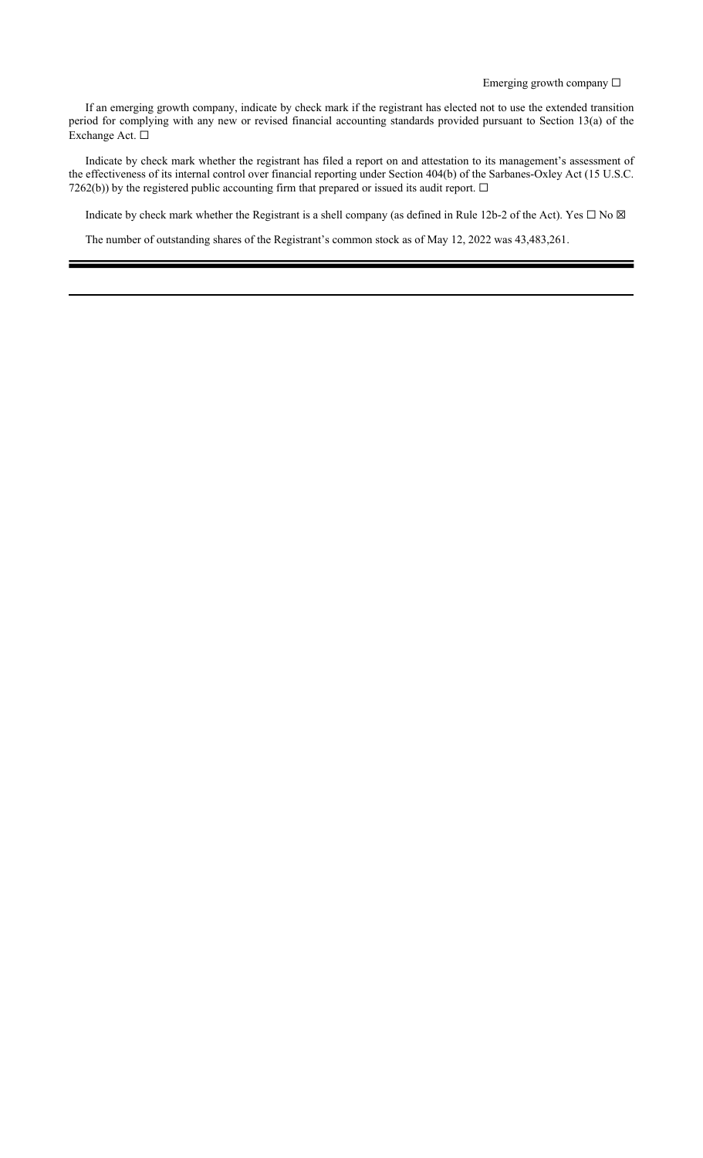If an emerging growth company, indicate by check mark if the registrant has elected not to use the extended transition period for complying with any new or revised financial accounting standards provided pursuant to Section 13(a) of the Exchange Act.  $\Box$ 

Indicate by check mark whether the registrant has filed a report on and attestation to its management's assessment of the effectiveness of its internal control over financial reporting under Section 404(b) of the Sarbanes-Oxley Act (15 U.S.C. 7262(b)) by the registered public accounting firm that prepared or issued its audit report.  $\Box$ 

Indicate by check mark whether the Registrant is a shell company (as defined in Rule 12b-2 of the Act). Yes  $\Box$  No  $\boxtimes$ 

The number of outstanding shares of the Registrant's common stock as of May 12, 2022 was 43,483,261.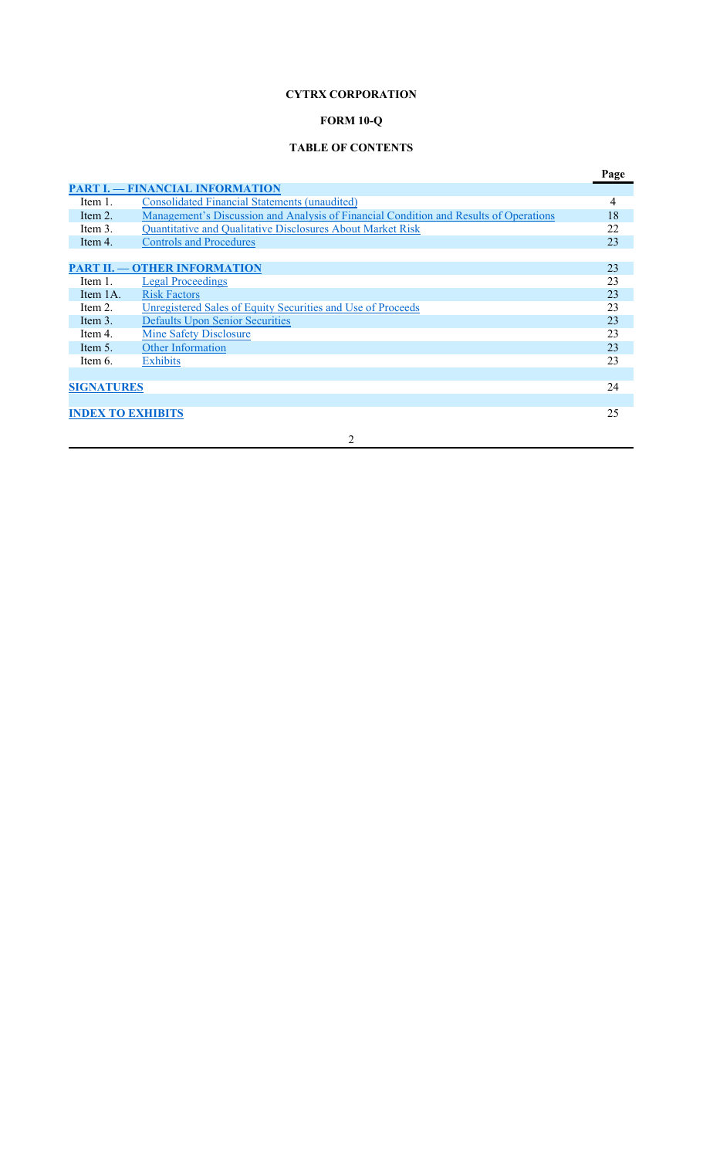# **CYTRX CORPORATION**

# **FORM 10-Q**

# **TABLE OF CONTENTS**

|                   |                                                                                       | Page |
|-------------------|---------------------------------------------------------------------------------------|------|
|                   | <b>PART I. — FINANCIAL INFORMATION</b>                                                |      |
| Item 1.           | Consolidated Financial Statements (unaudited)                                         | 4    |
| Item 2.           | Management's Discussion and Analysis of Financial Condition and Results of Operations | 18   |
| Item 3.           | Quantitative and Qualitative Disclosures About Market Risk                            | 22   |
| Item 4.           | <b>Controls and Procedures</b>                                                        | 23   |
|                   |                                                                                       |      |
|                   | <b>PART II. - OTHER INFORMATION</b>                                                   | 23   |
| Item 1.           | <b>Legal Proceedings</b>                                                              | 23   |
| Item 1A.          | <b>Risk Factors</b>                                                                   | 23   |
| Item 2.           | Unregistered Sales of Equity Securities and Use of Proceeds                           | 23   |
| Item $3.$         | <b>Defaults Upon Senior Securities</b>                                                | 23   |
| Item 4.           | <b>Mine Safety Disclosure</b>                                                         | 23   |
| Item 5.           | <b>Other Information</b>                                                              | 23   |
| Item 6.           | <b>Exhibits</b>                                                                       | 23   |
|                   |                                                                                       |      |
| <b>SIGNATURES</b> |                                                                                       | 24   |
|                   |                                                                                       |      |
|                   | <b>INDEX TO EXHIBITS</b>                                                              | 25   |
|                   |                                                                                       |      |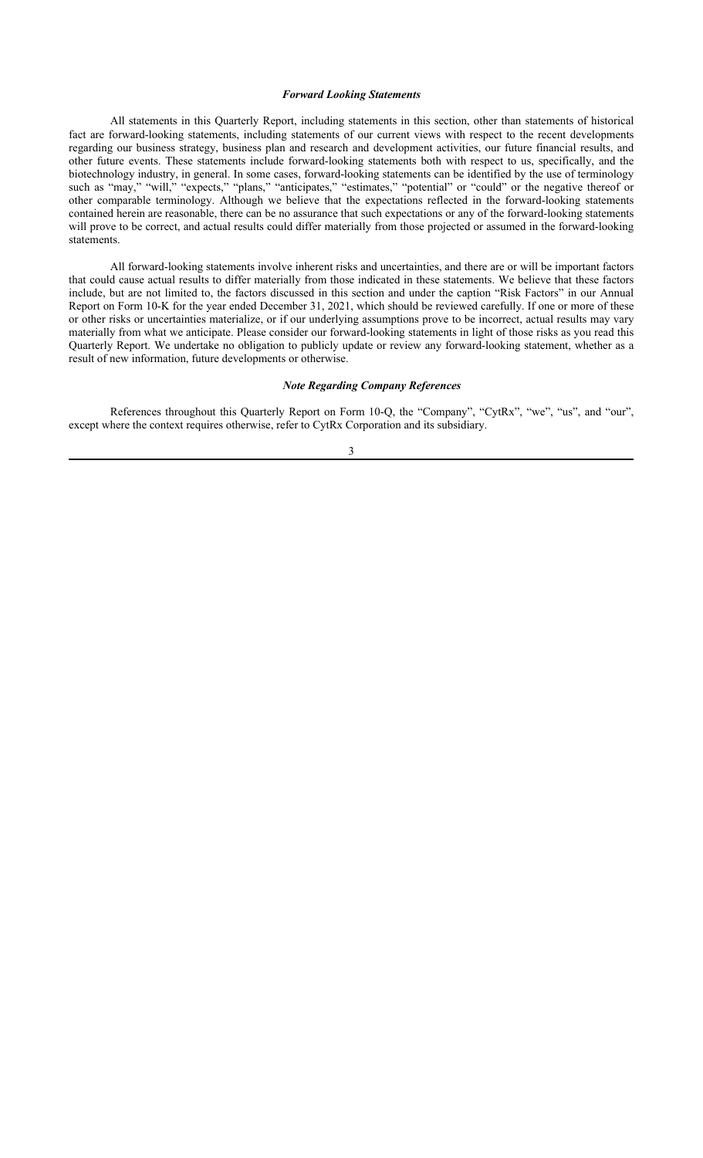#### *Forward Looking Statements*

All statements in this Quarterly Report, including statements in this section, other than statements of historical fact are forward-looking statements, including statements of our current views with respect to the recent developments regarding our business strategy, business plan and research and development activities, our future financial results, and other future events. These statements include forward-looking statements both with respect to us, specifically, and the biotechnology industry, in general. In some cases, forward-looking statements can be identified by the use of terminology such as "may," "will," "expects," "plans," "anticipates," "estimates," "potential" or "could" or the negative thereof or other comparable terminology. Although we believe that the expectations reflected in the forward-looking statements contained herein are reasonable, there can be no assurance that such expectations or any of the forward-looking statements will prove to be correct, and actual results could differ materially from those projected or assumed in the forward-looking statements.

All forward-looking statements involve inherent risks and uncertainties, and there are or will be important factors that could cause actual results to differ materially from those indicated in these statements. We believe that these factors include, but are not limited to, the factors discussed in this section and under the caption "Risk Factors" in our Annual Report on Form 10-K for the year ended December 31, 2021, which should be reviewed carefully. If one or more of these or other risks or uncertainties materialize, or if our underlying assumptions prove to be incorrect, actual results may vary materially from what we anticipate. Please consider our forward-looking statements in light of those risks as you read this Quarterly Report. We undertake no obligation to publicly update or review any forward-looking statement, whether as a result of new information, future developments or otherwise.

#### *Note Regarding Company References*

References throughout this Quarterly Report on Form 10-Q, the "Company", "CytRx", "we", "us", and "our", except where the context requires otherwise, refer to CytRx Corporation and its subsidiary.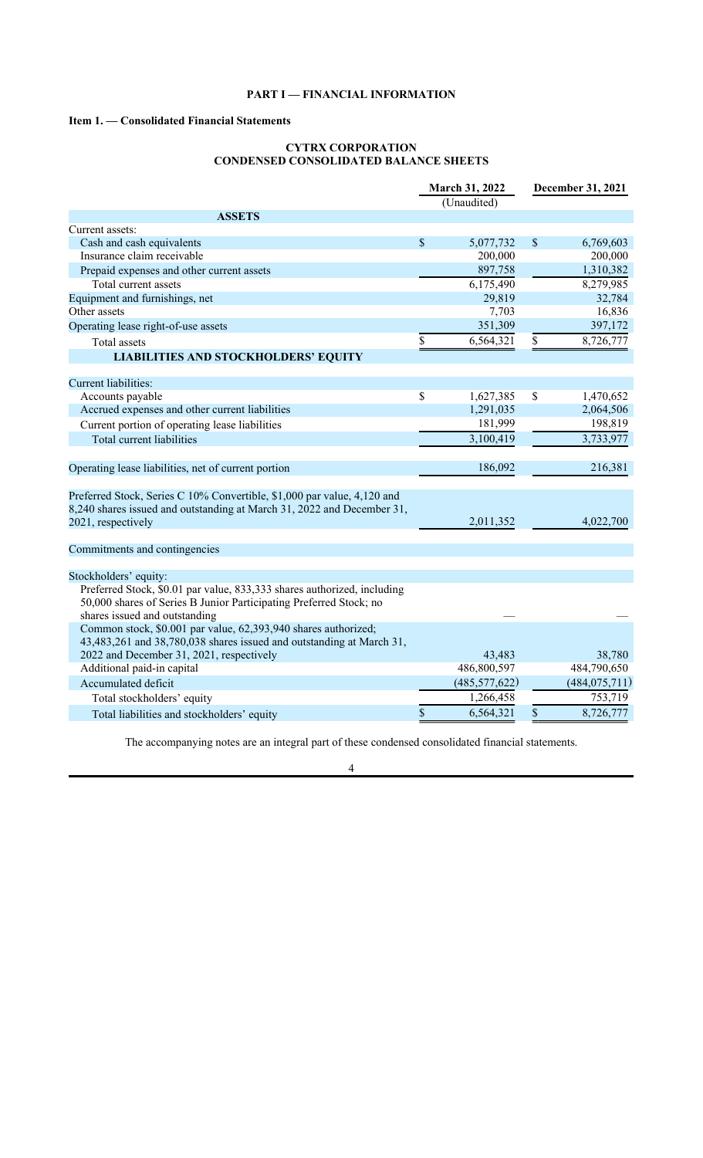# **PART I — FINANCIAL INFORMATION**

# **Item 1. — Consolidated Financial Statements**

#### **CYTRX CORPORATION CONDENSED CONSOLIDATED BALANCE SHEETS**

|                                                                                                                                                                                                         |    | March 31, 2022<br>(Unaudited) |               | December 31, 2021 |
|---------------------------------------------------------------------------------------------------------------------------------------------------------------------------------------------------------|----|-------------------------------|---------------|-------------------|
| <b>ASSETS</b>                                                                                                                                                                                           |    |                               |               |                   |
| Current assets:                                                                                                                                                                                         |    |                               |               |                   |
| Cash and cash equivalents                                                                                                                                                                               | \$ | 5,077,732                     | $\mathcal{S}$ | 6,769,603         |
| Insurance claim receivable                                                                                                                                                                              |    | 200,000                       |               | 200,000           |
| Prepaid expenses and other current assets                                                                                                                                                               |    | 897,758                       |               | 1,310,382         |
| Total current assets                                                                                                                                                                                    |    | 6,175,490                     |               | 8,279,985         |
| Equipment and furnishings, net                                                                                                                                                                          |    | 29,819                        |               | 32,784            |
| Other assets                                                                                                                                                                                            |    | 7,703                         |               | 16,836            |
| Operating lease right-of-use assets                                                                                                                                                                     |    | 351,309                       |               | 397,172           |
| Total assets                                                                                                                                                                                            | \$ | 6,564,321                     | \$            | 8,726,777         |
| <b>LIABILITIES AND STOCKHOLDERS' EQUITY</b>                                                                                                                                                             |    |                               |               |                   |
| <b>Current liabilities:</b>                                                                                                                                                                             |    |                               |               |                   |
| Accounts payable                                                                                                                                                                                        | \$ | 1,627,385                     | \$            | 1,470,652         |
| Accrued expenses and other current liabilities                                                                                                                                                          |    | 1,291,035                     |               | 2,064,506         |
| Current portion of operating lease liabilities                                                                                                                                                          |    | 181,999                       |               | 198,819           |
| Total current liabilities                                                                                                                                                                               |    | $\overline{3,100,419}$        |               | 3,733,977         |
|                                                                                                                                                                                                         |    |                               |               |                   |
| Operating lease liabilities, net of current portion                                                                                                                                                     |    | 186,092                       |               | 216,381           |
| Preferred Stock, Series C 10% Convertible, \$1,000 par value, 4,120 and<br>8,240 shares issued and outstanding at March 31, 2022 and December 31,<br>2021, respectively                                 |    | 2,011,352                     |               | 4,022,700         |
| Commitments and contingencies                                                                                                                                                                           |    |                               |               |                   |
| Stockholders' equity:<br>Preferred Stock, \$0.01 par value, 833,333 shares authorized, including<br>50,000 shares of Series B Junior Participating Preferred Stock; no<br>shares issued and outstanding |    |                               |               |                   |
| Common stock, \$0.001 par value, 62,393,940 shares authorized;<br>43,483,261 and 38,780,038 shares issued and outstanding at March 31,<br>2022 and December 31, 2021, respectively                      |    | 43,483                        |               | 38,780            |
| Additional paid-in capital                                                                                                                                                                              |    | 486,800,597                   |               | 484,790,650       |
| Accumulated deficit                                                                                                                                                                                     |    | (485, 577, 622)               |               | (484, 075, 711)   |
| Total stockholders' equity                                                                                                                                                                              |    | 1,266,458                     |               | 753,719           |
| Total liabilities and stockholders' equity                                                                                                                                                              | \$ | 6,564,321                     | \$            | 8,726,777         |

The accompanying notes are an integral part of these condensed consolidated financial statements.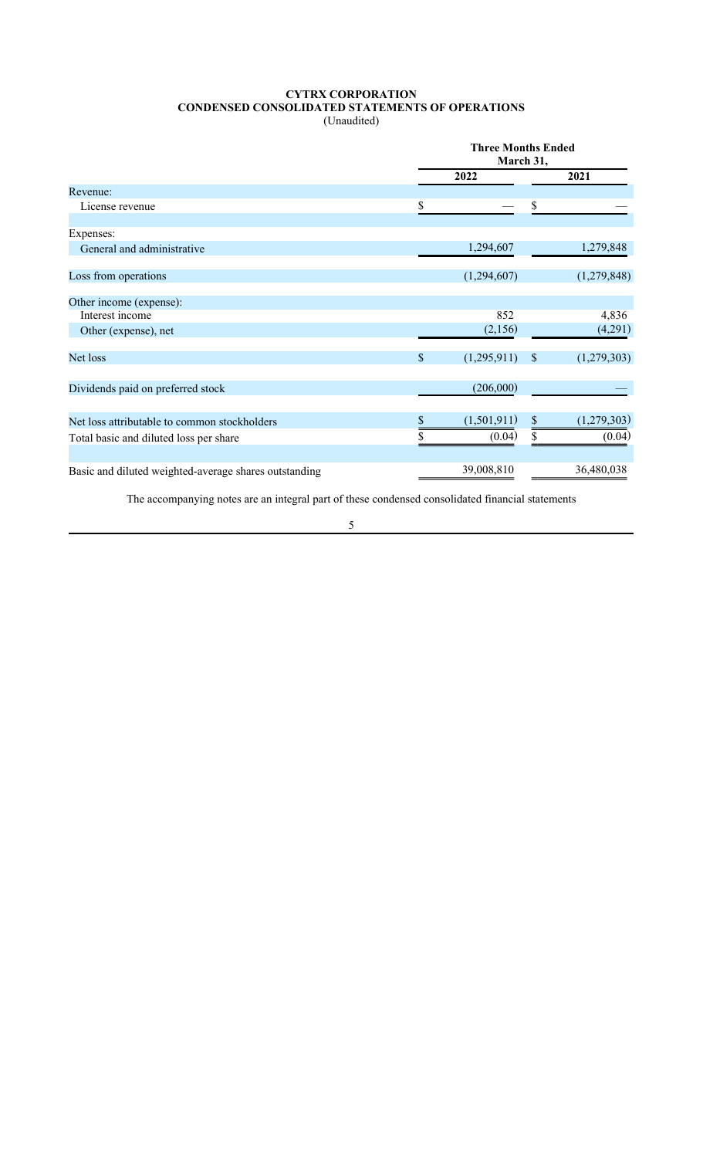#### **CYTRX CORPORATION CONDENSED CONSOLIDATED STATEMENTS OF OPERATIONS** (Unaudited)

| <b>Three Months Ended</b><br>March 31, |             |               |             |  |  |
|----------------------------------------|-------------|---------------|-------------|--|--|
| 2022                                   |             |               | 2021        |  |  |
|                                        |             |               |             |  |  |
| \$                                     |             | \$            |             |  |  |
|                                        |             |               |             |  |  |
|                                        |             |               |             |  |  |
|                                        |             |               | 1,279,848   |  |  |
|                                        | (1,294,607) |               | (1,279,848) |  |  |
|                                        |             |               |             |  |  |
|                                        | 852         |               | 4,836       |  |  |
|                                        | (2,156)     |               | (4,291)     |  |  |
| $\mathsf{\$}$                          | (1,295,911) | $\mathcal{S}$ | (1,279,303) |  |  |
|                                        | (206,000)   |               |             |  |  |
| \$                                     | (1,501,911) | $\$$          | (1,279,303) |  |  |
| \$                                     | (0.04)      | \$            | (0.04)      |  |  |
|                                        | 39,008,810  |               | 36,480,038  |  |  |
|                                        |             | 1,294,607     |             |  |  |

The accompanying notes are an integral part of these condensed consolidated financial statements

5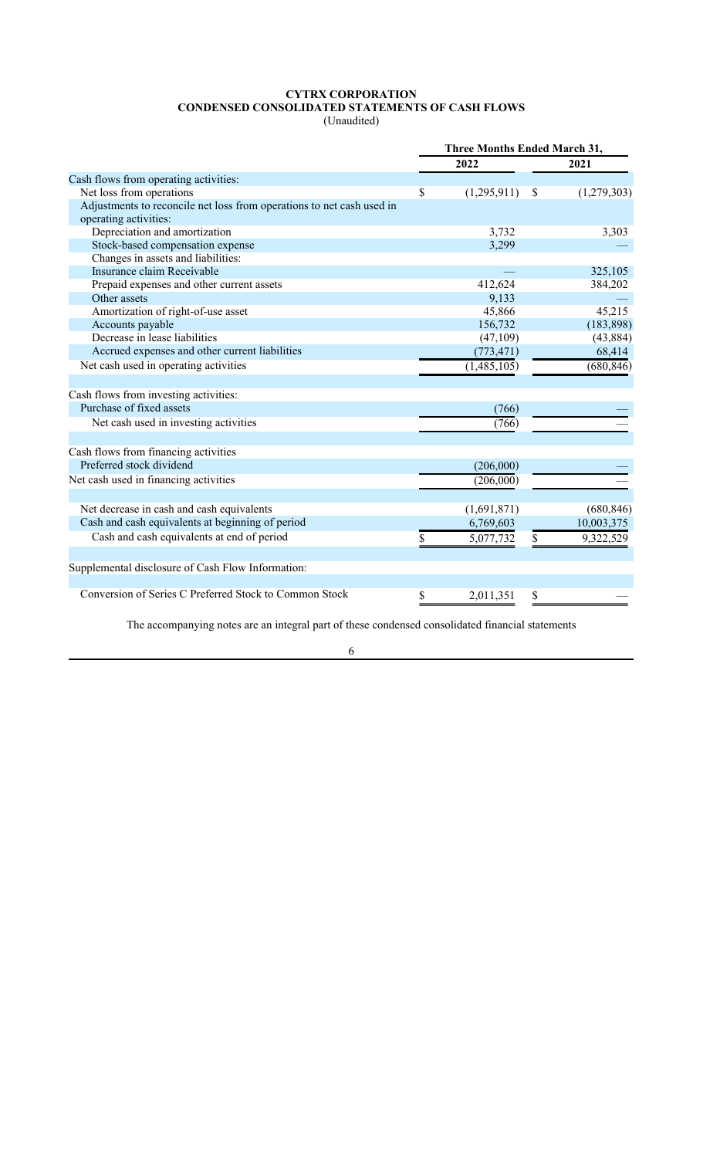# **CYTRX CORPORATION CONDENSED CONSOLIDATED STATEMENTS OF CASH FLOWS**

(Unaudited)

|                                                                                                  | <b>Three Months Ended March 31,</b> |                   |
|--------------------------------------------------------------------------------------------------|-------------------------------------|-------------------|
|                                                                                                  | 2022                                | 2021              |
| Cash flows from operating activities:                                                            |                                     |                   |
| Net loss from operations                                                                         | \$<br>(1,295,911)                   | \$<br>(1,279,303) |
| Adjustments to reconcile net loss from operations to net cash used in                            |                                     |                   |
| operating activities:                                                                            |                                     |                   |
| Depreciation and amortization                                                                    | 3,732                               | 3,303             |
| Stock-based compensation expense                                                                 | 3,299                               |                   |
| Changes in assets and liabilities:                                                               |                                     |                   |
| Insurance claim Receivable                                                                       |                                     | 325,105           |
| Prepaid expenses and other current assets                                                        | 412,624                             | 384,202           |
| Other assets                                                                                     | 9,133                               |                   |
| Amortization of right-of-use asset                                                               | 45,866                              | 45,215            |
| Accounts payable                                                                                 | 156,732                             | (183, 898)        |
| Decrease in lease liabilities                                                                    | (47,109)                            | (43, 884)         |
| Accrued expenses and other current liabilities                                                   | (773, 471)                          | 68,414            |
| Net cash used in operating activities                                                            | (1,485,105)                         | (680, 846)        |
|                                                                                                  |                                     |                   |
| Cash flows from investing activities:                                                            |                                     |                   |
| Purchase of fixed assets                                                                         | (766)                               |                   |
| Net cash used in investing activities                                                            | (766)                               |                   |
|                                                                                                  |                                     |                   |
| Cash flows from financing activities                                                             |                                     |                   |
| Preferred stock dividend                                                                         | (206,000)                           |                   |
| Net cash used in financing activities                                                            | (206,000)                           |                   |
|                                                                                                  |                                     |                   |
| Net decrease in cash and cash equivalents                                                        | (1,691,871)                         | (680, 846)        |
| Cash and cash equivalents at beginning of period                                                 | 6,769,603                           | 10,003,375        |
| Cash and cash equivalents at end of period                                                       | \$<br>5,077,732                     | \$<br>9,322,529   |
|                                                                                                  |                                     |                   |
| Supplemental disclosure of Cash Flow Information:                                                |                                     |                   |
|                                                                                                  |                                     |                   |
| Conversion of Series C Preferred Stock to Common Stock                                           | \$<br>2,011,351                     | \$                |
| The accompanying notes are an integral part of these condensed consolidated financial statements |                                     |                   |

 $\overline{6}$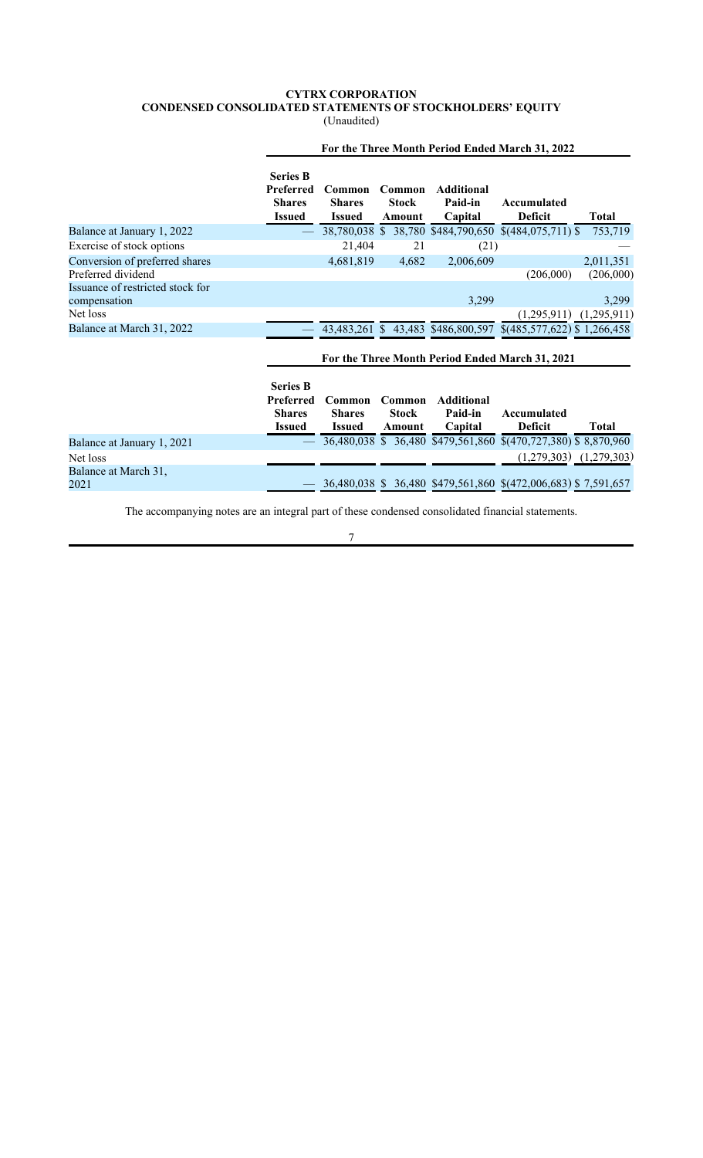# **CYTRX CORPORATION CONDENSED CONSOLIDATED STATEMENTS OF STOCKHOLDERS' EQUITY**

(Unaudited)

|                                                      |                                                                |                                          |                                  |                                         | For the Three Month Period Ended March 31, 2022                 |                        |
|------------------------------------------------------|----------------------------------------------------------------|------------------------------------------|----------------------------------|-----------------------------------------|-----------------------------------------------------------------|------------------------|
|                                                      | <b>Series B</b><br>Preferred<br><b>Shares</b><br><b>Issued</b> | Common<br><b>Shares</b><br><b>Issued</b> | Common<br><b>Stock</b><br>Amount | <b>Additional</b><br>Paid-in<br>Capital | Accumulated<br><b>Deficit</b>                                   | <b>Total</b>           |
| Balance at January 1, 2022                           |                                                                |                                          |                                  |                                         | 38,780,038 \$ 38,780 \$484,790,650 \$(484,075,711) \$           | 753,719                |
| Exercise of stock options                            |                                                                | 21,404                                   | 21                               | (21)                                    |                                                                 |                        |
| Conversion of preferred shares<br>Preferred dividend |                                                                | 4,681,819                                | 4,682                            | 2,006,609                               | (206,000)                                                       | 2,011,351<br>(206,000) |
| Issuance of restricted stock for                     |                                                                |                                          |                                  |                                         |                                                                 |                        |
| compensation                                         |                                                                |                                          |                                  | 3,299                                   |                                                                 | 3,299                  |
| Net loss                                             |                                                                |                                          |                                  |                                         | (1,295,911)                                                     | (1,295,911)            |
| Balance at March 31, 2022                            |                                                                |                                          |                                  |                                         | 43,483,261 \$43,483 \$486,800,597 \$(485,577,622) \$1,266,458   |                        |
|                                                      |                                                                |                                          |                                  |                                         | For the Three Month Period Ended March 31, 2021                 |                        |
|                                                      | <b>Series B</b><br>Preferred<br><b>Shares</b>                  | Common<br><b>Shares</b>                  | Common<br><b>Stock</b>           | <b>Additional</b><br>Paid-in            | Accumulated                                                     |                        |
|                                                      | <b>Issued</b>                                                  | <b>Issued</b>                            | Amount                           | Capital                                 | <b>Deficit</b>                                                  | <b>Total</b>           |
| Balance at January 1, 2021                           |                                                                |                                          |                                  |                                         | 36,480,038 \$ 36,480 \$479,561,860 \$(470,727,380) \$ 8,870,960 |                        |
| Net loss                                             |                                                                |                                          |                                  |                                         | $(1,279,303)$ $(1,279,303)$                                     |                        |
| Balance at March 31,<br>2021                         |                                                                |                                          |                                  |                                         | 36,480,038 \$ 36,480 \$479,561,860 \$(472,006,683) \$ 7,591,657 |                        |

The accompanying notes are an integral part of these condensed consolidated financial statements.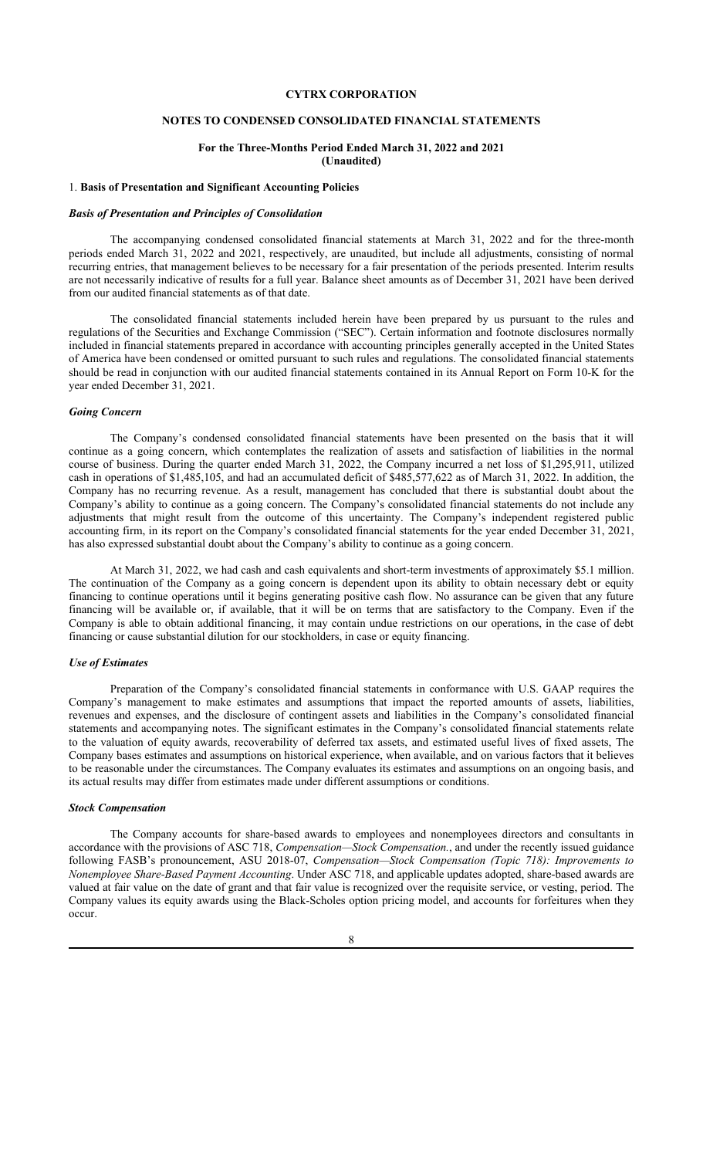# **CYTRX CORPORATION**

### **NOTES TO CONDENSED CONSOLIDATED FINANCIAL STATEMENTS**

#### **For the Three-Months Period Ended March 31, 2022 and 2021 (Unaudited)**

#### 1. **Basis of Presentation and Significant Accounting Policies**

#### *Basis of Presentation and Principles of Consolidation*

The accompanying condensed consolidated financial statements at March 31, 2022 and for the three-month periods ended March 31, 2022 and 2021, respectively, are unaudited, but include all adjustments, consisting of normal recurring entries, that management believes to be necessary for a fair presentation of the periods presented. Interim results are not necessarily indicative of results for a full year. Balance sheet amounts as of December 31, 2021 have been derived from our audited financial statements as of that date.

The consolidated financial statements included herein have been prepared by us pursuant to the rules and regulations of the Securities and Exchange Commission ("SEC"). Certain information and footnote disclosures normally included in financial statements prepared in accordance with accounting principles generally accepted in the United States of America have been condensed or omitted pursuant to such rules and regulations. The consolidated financial statements should be read in conjunction with our audited financial statements contained in its Annual Report on Form 10-K for the year ended December 31, 2021.

#### *Going Concern*

The Company's condensed consolidated financial statements have been presented on the basis that it will continue as a going concern, which contemplates the realization of assets and satisfaction of liabilities in the normal course of business. During the quarter ended March 31, 2022, the Company incurred a net loss of \$1,295,911, utilized cash in operations of \$1,485,105, and had an accumulated deficit of \$485,577,622 as of March 31, 2022. In addition, the Company has no recurring revenue. As a result, management has concluded that there is substantial doubt about the Company's ability to continue as a going concern. The Company's consolidated financial statements do not include any adjustments that might result from the outcome of this uncertainty. The Company's independent registered public accounting firm, in its report on the Company's consolidated financial statements for the year ended December 31, 2021, has also expressed substantial doubt about the Company's ability to continue as a going concern.

At March 31, 2022, we had cash and cash equivalents and short-term investments of approximately \$5.1 million. The continuation of the Company as a going concern is dependent upon its ability to obtain necessary debt or equity financing to continue operations until it begins generating positive cash flow. No assurance can be given that any future financing will be available or, if available, that it will be on terms that are satisfactory to the Company. Even if the Company is able to obtain additional financing, it may contain undue restrictions on our operations, in the case of debt financing or cause substantial dilution for our stockholders, in case or equity financing.

#### *Use of Estimates*

Preparation of the Company's consolidated financial statements in conformance with U.S. GAAP requires the Company's management to make estimates and assumptions that impact the reported amounts of assets, liabilities, revenues and expenses, and the disclosure of contingent assets and liabilities in the Company's consolidated financial statements and accompanying notes. The significant estimates in the Company's consolidated financial statements relate to the valuation of equity awards, recoverability of deferred tax assets, and estimated useful lives of fixed assets, The Company bases estimates and assumptions on historical experience, when available, and on various factors that it believes to be reasonable under the circumstances. The Company evaluates its estimates and assumptions on an ongoing basis, and its actual results may differ from estimates made under different assumptions or conditions.

### *Stock Compensation*

The Company accounts for share-based awards to employees and nonemployees directors and consultants in accordance with the provisions of ASC 718, *Compensation—Stock Compensation.*, and under the recently issued guidance following FASB's pronouncement, ASU 2018-07, *Compensation—Stock Compensation (Topic 718): Improvements to Nonemployee Share-Based Payment Accounting*. Under ASC 718, and applicable updates adopted, share-based awards are valued at fair value on the date of grant and that fair value is recognized over the requisite service, or vesting, period. The Company values its equity awards using the Black-Scholes option pricing model, and accounts for forfeitures when they occur.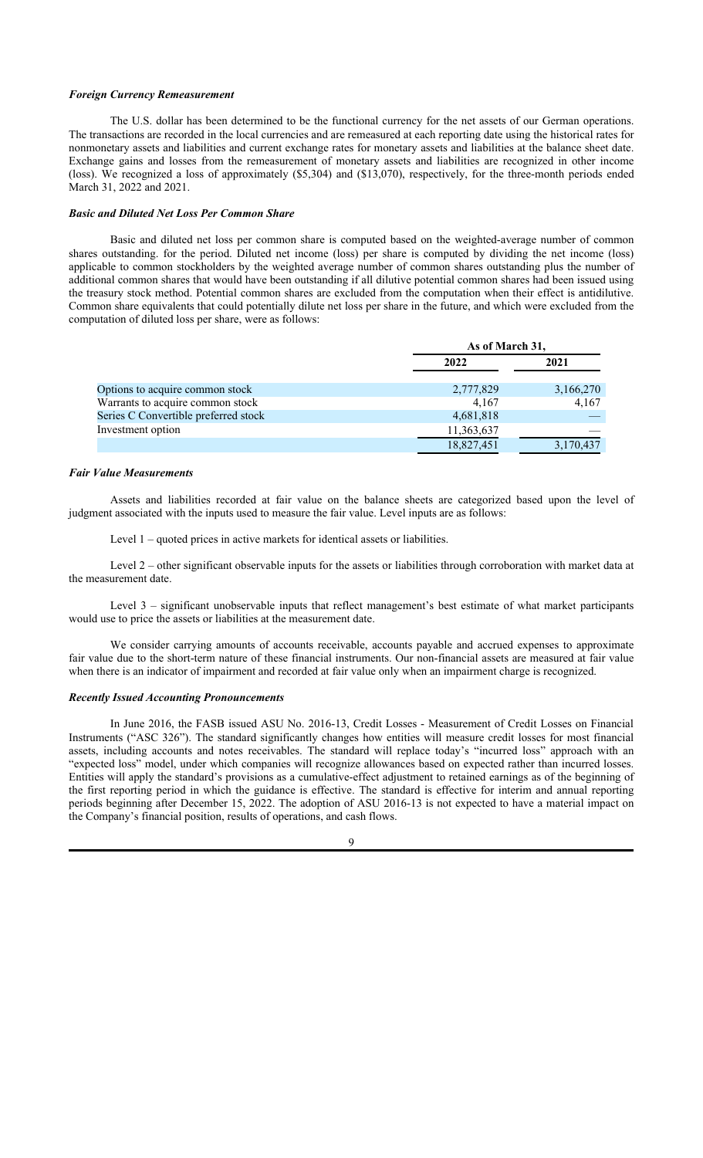#### *Foreign Currency Remeasurement*

The U.S. dollar has been determined to be the functional currency for the net assets of our German operations. The transactions are recorded in the local currencies and are remeasured at each reporting date using the historical rates for nonmonetary assets and liabilities and current exchange rates for monetary assets and liabilities at the balance sheet date. Exchange gains and losses from the remeasurement of monetary assets and liabilities are recognized in other income (loss). We recognized a loss of approximately (\$5,304) and (\$13,070), respectively, for the three-month periods ended March 31, 2022 and 2021.

#### *Basic and Diluted Net Loss Per Common Share*

Basic and diluted net loss per common share is computed based on the weighted-average number of common shares outstanding. for the period. Diluted net income (loss) per share is computed by dividing the net income (loss) applicable to common stockholders by the weighted average number of common shares outstanding plus the number of additional common shares that would have been outstanding if all dilutive potential common shares had been issued using the treasury stock method. Potential common shares are excluded from the computation when their effect is antidilutive. Common share equivalents that could potentially dilute net loss per share in the future, and which were excluded from the computation of diluted loss per share, were as follows:

|                                      |            | As of March 31, |  |  |
|--------------------------------------|------------|-----------------|--|--|
|                                      | 2022       | 2021            |  |  |
| Options to acquire common stock      | 2,777,829  | 3,166,270       |  |  |
| Warrants to acquire common stock     | 4.167      | 4,167           |  |  |
| Series C Convertible preferred stock | 4,681,818  |                 |  |  |
| Investment option                    | 11,363,637 |                 |  |  |
|                                      | 18,827,451 | 3,170,437       |  |  |

#### *Fair Value Measurements*

Assets and liabilities recorded at fair value on the balance sheets are categorized based upon the level of judgment associated with the inputs used to measure the fair value. Level inputs are as follows:

Level 1 – quoted prices in active markets for identical assets or liabilities.

Level 2 – other significant observable inputs for the assets or liabilities through corroboration with market data at the measurement date.

Level 3 – significant unobservable inputs that reflect management's best estimate of what market participants would use to price the assets or liabilities at the measurement date.

We consider carrying amounts of accounts receivable, accounts payable and accrued expenses to approximate fair value due to the short-term nature of these financial instruments. Our non-financial assets are measured at fair value when there is an indicator of impairment and recorded at fair value only when an impairment charge is recognized.

#### *Recently Issued Accounting Pronouncements*

In June 2016, the FASB issued ASU No. 2016-13, Credit Losses - Measurement of Credit Losses on Financial Instruments ("ASC 326"). The standard significantly changes how entities will measure credit losses for most financial assets, including accounts and notes receivables. The standard will replace today's "incurred loss" approach with an "expected loss" model, under which companies will recognize allowances based on expected rather than incurred losses. Entities will apply the standard's provisions as a cumulative-effect adjustment to retained earnings as of the beginning of the first reporting period in which the guidance is effective. The standard is effective for interim and annual reporting periods beginning after December 15, 2022. The adoption of ASU 2016-13 is not expected to have a material impact on the Company's financial position, results of operations, and cash flows.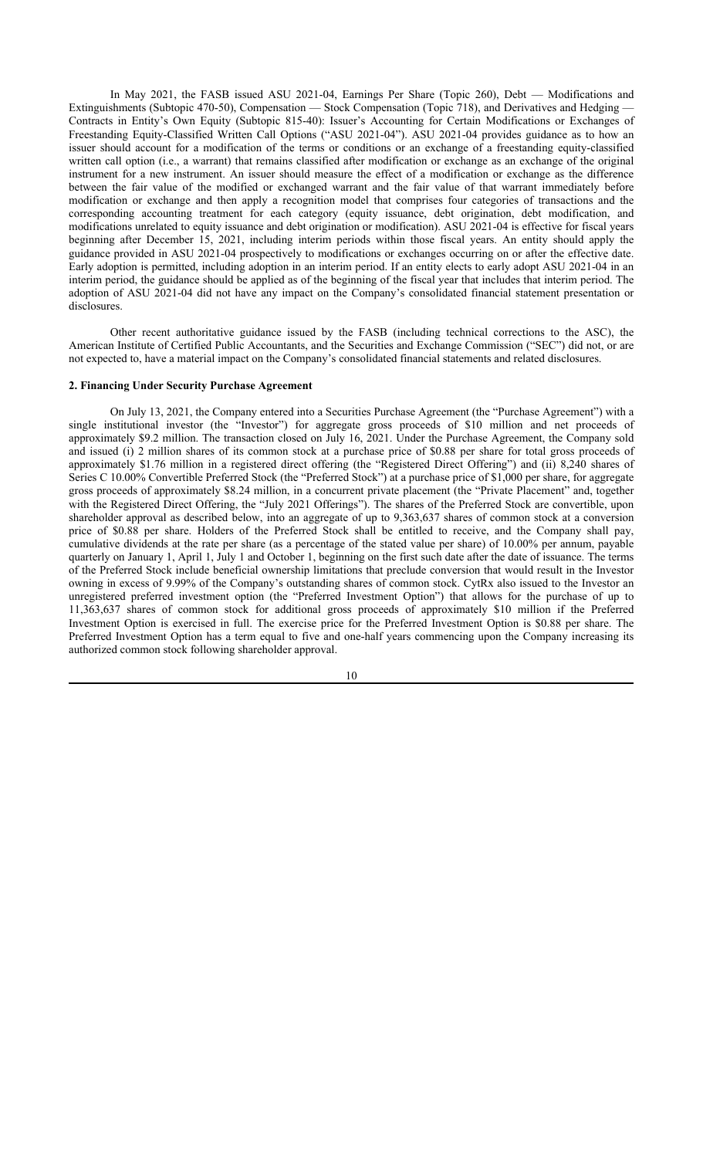In May 2021, the FASB issued ASU 2021-04, Earnings Per Share (Topic 260), Debt — Modifications and Extinguishments (Subtopic 470-50), Compensation — Stock Compensation (Topic 718), and Derivatives and Hedging Contracts in Entity's Own Equity (Subtopic 815-40): Issuer's Accounting for Certain Modifications or Exchanges of Freestanding Equity-Classified Written Call Options ("ASU 2021-04"). ASU 2021-04 provides guidance as to how an issuer should account for a modification of the terms or conditions or an exchange of a freestanding equity-classified written call option (i.e., a warrant) that remains classified after modification or exchange as an exchange of the original instrument for a new instrument. An issuer should measure the effect of a modification or exchange as the difference between the fair value of the modified or exchanged warrant and the fair value of that warrant immediately before modification or exchange and then apply a recognition model that comprises four categories of transactions and the corresponding accounting treatment for each category (equity issuance, debt origination, debt modification, and modifications unrelated to equity issuance and debt origination or modification). ASU 2021-04 is effective for fiscal years beginning after December 15, 2021, including interim periods within those fiscal years. An entity should apply the guidance provided in ASU 2021-04 prospectively to modifications or exchanges occurring on or after the effective date. Early adoption is permitted, including adoption in an interim period. If an entity elects to early adopt ASU 2021-04 in an interim period, the guidance should be applied as of the beginning of the fiscal year that includes that interim period. The adoption of ASU 2021-04 did not have any impact on the Company's consolidated financial statement presentation or disclosures.

Other recent authoritative guidance issued by the FASB (including technical corrections to the ASC), the American Institute of Certified Public Accountants, and the Securities and Exchange Commission ("SEC") did not, or are not expected to, have a material impact on the Company's consolidated financial statements and related disclosures.

#### **2. Financing Under Security Purchase Agreement**

On July 13, 2021, the Company entered into a Securities Purchase Agreement (the "Purchase Agreement") with a single institutional investor (the "Investor") for aggregate gross proceeds of \$10 million and net proceeds of approximately \$9.2 million. The transaction closed on July 16, 2021. Under the Purchase Agreement, the Company sold and issued (i) 2 million shares of its common stock at a purchase price of \$0.88 per share for total gross proceeds of approximately \$1.76 million in a registered direct offering (the "Registered Direct Offering") and (ii) 8,240 shares of Series C 10.00% Convertible Preferred Stock (the "Preferred Stock") at a purchase price of \$1,000 per share, for aggregate gross proceeds of approximately \$8.24 million, in a concurrent private placement (the "Private Placement" and, together with the Registered Direct Offering, the "July 2021 Offerings"). The shares of the Preferred Stock are convertible, upon shareholder approval as described below, into an aggregate of up to 9,363,637 shares of common stock at a conversion price of \$0.88 per share. Holders of the Preferred Stock shall be entitled to receive, and the Company shall pay, cumulative dividends at the rate per share (as a percentage of the stated value per share) of 10.00% per annum, payable quarterly on January 1, April 1, July 1 and October 1, beginning on the first such date after the date of issuance. The terms of the Preferred Stock include beneficial ownership limitations that preclude conversion that would result in the Investor owning in excess of 9.99% of the Company's outstanding shares of common stock. CytRx also issued to the Investor an unregistered preferred investment option (the "Preferred Investment Option") that allows for the purchase of up to 11,363,637 shares of common stock for additional gross proceeds of approximately \$10 million if the Preferred Investment Option is exercised in full. The exercise price for the Preferred Investment Option is \$0.88 per share. The Preferred Investment Option has a term equal to five and one-half years commencing upon the Company increasing its authorized common stock following shareholder approval.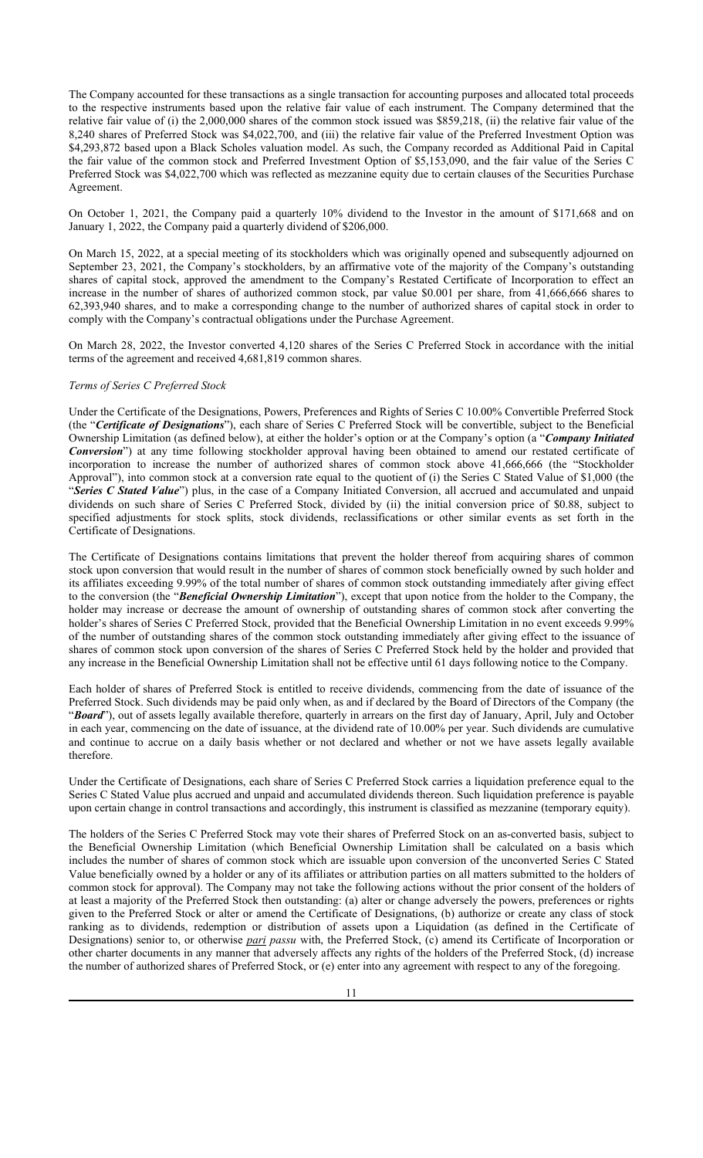The Company accounted for these transactions as a single transaction for accounting purposes and allocated total proceeds to the respective instruments based upon the relative fair value of each instrument. The Company determined that the relative fair value of (i) the 2,000,000 shares of the common stock issued was \$859,218, (ii) the relative fair value of the 8,240 shares of Preferred Stock was \$4,022,700, and (iii) the relative fair value of the Preferred Investment Option was \$4,293,872 based upon a Black Scholes valuation model. As such, the Company recorded as Additional Paid in Capital the fair value of the common stock and Preferred Investment Option of \$5,153,090, and the fair value of the Series C Preferred Stock was \$4,022,700 which was reflected as mezzanine equity due to certain clauses of the Securities Purchase Agreement.

On October 1, 2021, the Company paid a quarterly 10% dividend to the Investor in the amount of \$171,668 and on January 1, 2022, the Company paid a quarterly dividend of \$206,000.

On March 15, 2022, at a special meeting of its stockholders which was originally opened and subsequently adjourned on September 23, 2021, the Company's stockholders, by an affirmative vote of the majority of the Company's outstanding shares of capital stock, approved the amendment to the Company's Restated Certificate of Incorporation to effect an increase in the number of shares of authorized common stock, par value \$0.001 per share, from 41,666,666 shares to 62,393,940 shares, and to make a corresponding change to the number of authorized shares of capital stock in order to comply with the Company's contractual obligations under the Purchase Agreement.

On March 28, 2022, the Investor converted 4,120 shares of the Series C Preferred Stock in accordance with the initial terms of the agreement and received 4,681,819 common shares.

#### *Terms of Series C Preferred Stock*

Under the Certificate of the Designations, Powers, Preferences and Rights of Series C 10.00% Convertible Preferred Stock (the "*Certificate of Designations*"), each share of Series C Preferred Stock will be convertible, subject to the Beneficial Ownership Limitation (as defined below), at either the holder's option or at the Company's option (a "*Company Initiated Conversion*") at any time following stockholder approval having been obtained to amend our restated certificate of incorporation to increase the number of authorized shares of common stock above 41,666,666 (the "Stockholder Approval"), into common stock at a conversion rate equal to the quotient of (i) the Series C Stated Value of \$1,000 (the "*Series C Stated Value*") plus, in the case of a Company Initiated Conversion, all accrued and accumulated and unpaid dividends on such share of Series C Preferred Stock, divided by (ii) the initial conversion price of \$0.88, subject to specified adjustments for stock splits, stock dividends, reclassifications or other similar events as set forth in the Certificate of Designations.

The Certificate of Designations contains limitations that prevent the holder thereof from acquiring shares of common stock upon conversion that would result in the number of shares of common stock beneficially owned by such holder and its affiliates exceeding 9.99% of the total number of shares of common stock outstanding immediately after giving effect to the conversion (the "*Beneficial Ownership Limitation*"), except that upon notice from the holder to the Company, the holder may increase or decrease the amount of ownership of outstanding shares of common stock after converting the holder's shares of Series C Preferred Stock, provided that the Beneficial Ownership Limitation in no event exceeds 9.99% of the number of outstanding shares of the common stock outstanding immediately after giving effect to the issuance of shares of common stock upon conversion of the shares of Series C Preferred Stock held by the holder and provided that any increase in the Beneficial Ownership Limitation shall not be effective until 61 days following notice to the Company.

Each holder of shares of Preferred Stock is entitled to receive dividends, commencing from the date of issuance of the Preferred Stock. Such dividends may be paid only when, as and if declared by the Board of Directors of the Company (the "Board"), out of assets legally available therefore, quarterly in arrears on the first day of January, April, July and October in each year, commencing on the date of issuance, at the dividend rate of 10.00% per year. Such dividends are cumulative and continue to accrue on a daily basis whether or not declared and whether or not we have assets legally available therefore.

Under the Certificate of Designations, each share of Series C Preferred Stock carries a liquidation preference equal to the Series C Stated Value plus accrued and unpaid and accumulated dividends thereon. Such liquidation preference is payable upon certain change in control transactions and accordingly, this instrument is classified as mezzanine (temporary equity).

The holders of the Series C Preferred Stock may vote their shares of Preferred Stock on an as-converted basis, subject to the Beneficial Ownership Limitation (which Beneficial Ownership Limitation shall be calculated on a basis which includes the number of shares of common stock which are issuable upon conversion of the unconverted Series C Stated Value beneficially owned by a holder or any of its affiliates or attribution parties on all matters submitted to the holders of common stock for approval). The Company may not take the following actions without the prior consent of the holders of at least a majority of the Preferred Stock then outstanding: (a) alter or change adversely the powers, preferences or rights given to the Preferred Stock or alter or amend the Certificate of Designations, (b) authorize or create any class of stock ranking as to dividends, redemption or distribution of assets upon a Liquidation (as defined in the Certificate of Designations) senior to, or otherwise *pari passu* with, the Preferred Stock, (c) amend its Certificate of Incorporation or other charter documents in any manner that adversely affects any rights of the holders of the Preferred Stock, (d) increase the number of authorized shares of Preferred Stock, or (e) enter into any agreement with respect to any of the foregoing.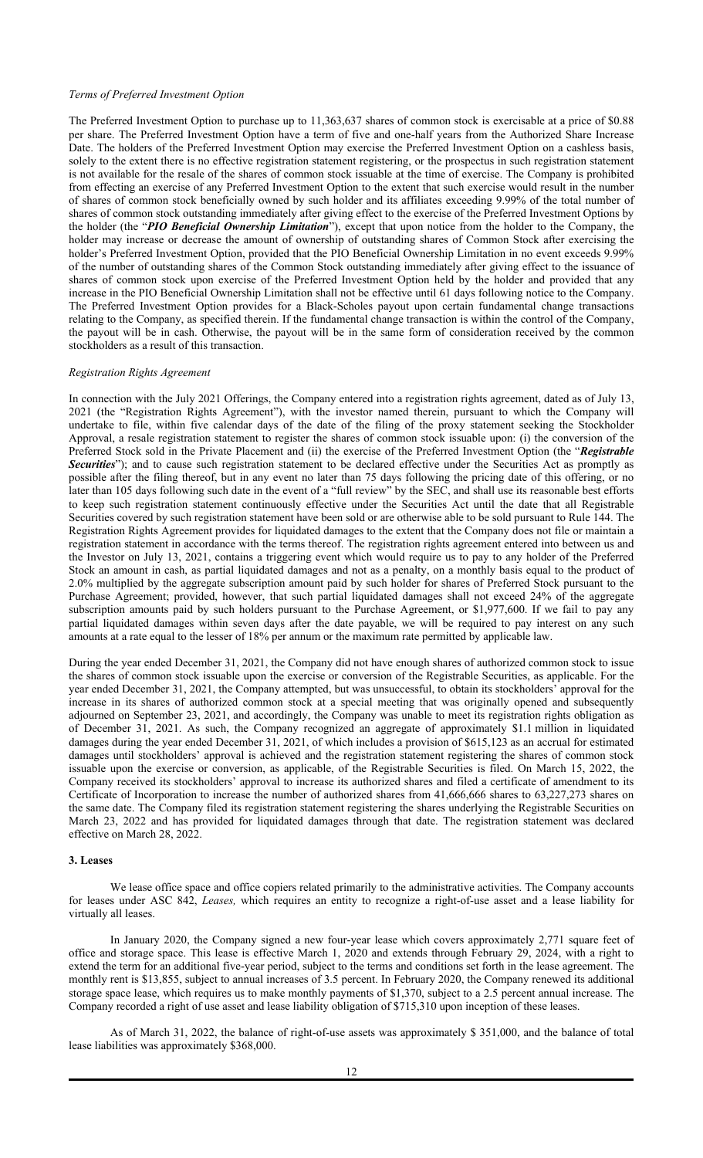#### *Terms of Preferred Investment Option*

The Preferred Investment Option to purchase up to 11,363,637 shares of common stock is exercisable at a price of \$0.88 per share. The Preferred Investment Option have a term of five and one-half years from the Authorized Share Increase Date. The holders of the Preferred Investment Option may exercise the Preferred Investment Option on a cashless basis, solely to the extent there is no effective registration statement registering, or the prospectus in such registration statement is not available for the resale of the shares of common stock issuable at the time of exercise. The Company is prohibited from effecting an exercise of any Preferred Investment Option to the extent that such exercise would result in the number of shares of common stock beneficially owned by such holder and its affiliates exceeding 9.99% of the total number of shares of common stock outstanding immediately after giving effect to the exercise of the Preferred Investment Options by the holder (the "*PIO Beneficial Ownership Limitation*"), except that upon notice from the holder to the Company, the holder may increase or decrease the amount of ownership of outstanding shares of Common Stock after exercising the holder's Preferred Investment Option, provided that the PIO Beneficial Ownership Limitation in no event exceeds 9.99% of the number of outstanding shares of the Common Stock outstanding immediately after giving effect to the issuance of shares of common stock upon exercise of the Preferred Investment Option held by the holder and provided that any increase in the PIO Beneficial Ownership Limitation shall not be effective until 61 days following notice to the Company. The Preferred Investment Option provides for a Black-Scholes payout upon certain fundamental change transactions relating to the Company, as specified therein. If the fundamental change transaction is within the control of the Company, the payout will be in cash. Otherwise, the payout will be in the same form of consideration received by the common stockholders as a result of this transaction.

# *Registration Rights Agreement*

In connection with the July 2021 Offerings, the Company entered into a registration rights agreement, dated as of July 13, 2021 (the "Registration Rights Agreement"), with the investor named therein, pursuant to which the Company will undertake to file, within five calendar days of the date of the filing of the proxy statement seeking the Stockholder Approval, a resale registration statement to register the shares of common stock issuable upon: (i) the conversion of the Preferred Stock sold in the Private Placement and (ii) the exercise of the Preferred Investment Option (the "*Registrable Securities*"); and to cause such registration statement to be declared effective under the Securities Act as promptly as possible after the filing thereof, but in any event no later than 75 days following the pricing date of this offering, or no later than 105 days following such date in the event of a "full review" by the SEC, and shall use its reasonable best efforts to keep such registration statement continuously effective under the Securities Act until the date that all Registrable Securities covered by such registration statement have been sold or are otherwise able to be sold pursuant to Rule 144. The Registration Rights Agreement provides for liquidated damages to the extent that the Company does not file or maintain a registration statement in accordance with the terms thereof. The registration rights agreement entered into between us and the Investor on July 13, 2021, contains a triggering event which would require us to pay to any holder of the Preferred Stock an amount in cash, as partial liquidated damages and not as a penalty, on a monthly basis equal to the product of 2.0% multiplied by the aggregate subscription amount paid by such holder for shares of Preferred Stock pursuant to the Purchase Agreement; provided, however, that such partial liquidated damages shall not exceed 24% of the aggregate subscription amounts paid by such holders pursuant to the Purchase Agreement, or \$1,977,600. If we fail to pay any partial liquidated damages within seven days after the date payable, we will be required to pay interest on any such amounts at a rate equal to the lesser of 18% per annum or the maximum rate permitted by applicable law.

During the year ended December 31, 2021, the Company did not have enough shares of authorized common stock to issue the shares of common stock issuable upon the exercise or conversion of the Registrable Securities, as applicable. For the year ended December 31, 2021, the Company attempted, but was unsuccessful, to obtain its stockholders' approval for the increase in its shares of authorized common stock at a special meeting that was originally opened and subsequently adjourned on September 23, 2021, and accordingly, the Company was unable to meet its registration rights obligation as of December 31, 2021. As such, the Company recognized an aggregate of approximately \$1.1 million in liquidated damages during the year ended December 31, 2021, of which includes a provision of \$615,123 as an accrual for estimated damages until stockholders' approval is achieved and the registration statement registering the shares of common stock issuable upon the exercise or conversion, as applicable, of the Registrable Securities is filed. On March 15, 2022, the Company received its stockholders' approval to increase its authorized shares and filed a certificate of amendment to its Certificate of Incorporation to increase the number of authorized shares from 41,666,666 shares to 63,227,273 shares on the same date. The Company filed its registration statement registering the shares underlying the Registrable Securities on March 23, 2022 and has provided for liquidated damages through that date. The registration statement was declared effective on March 28, 2022.

#### **3. Leases**

We lease office space and office copiers related primarily to the administrative activities. The Company accounts for leases under ASC 842, *Leases,* which requires an entity to recognize a right-of-use asset and a lease liability for virtually all leases.

In January 2020, the Company signed a new four-year lease which covers approximately 2,771 square feet of office and storage space. This lease is effective March 1, 2020 and extends through February 29, 2024, with a right to extend the term for an additional five-year period, subject to the terms and conditions set forth in the lease agreement. The monthly rent is \$13,855, subject to annual increases of 3.5 percent. In February 2020, the Company renewed its additional storage space lease, which requires us to make monthly payments of \$1,370, subject to a 2.5 percent annual increase. The Company recorded a right of use asset and lease liability obligation of \$715,310 upon inception of these leases.

As of March 31, 2022, the balance of right-of-use assets was approximately \$ 351,000, and the balance of total lease liabilities was approximately \$368,000.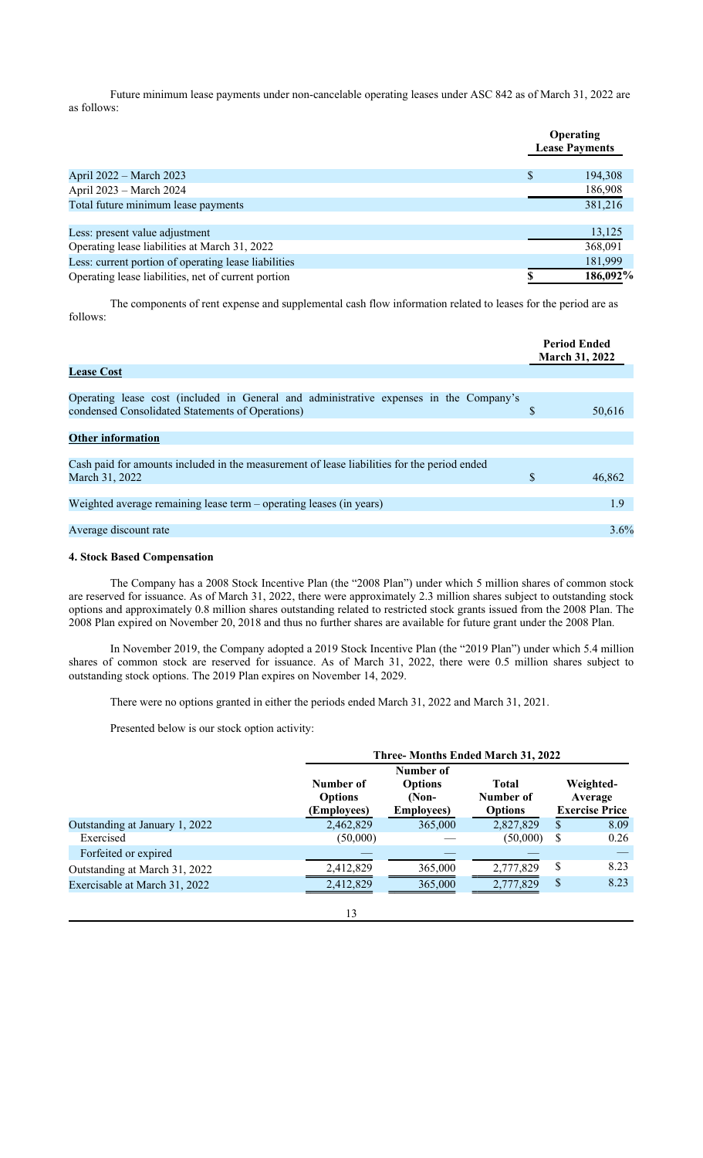Future minimum lease payments under non-cancelable operating leases under ASC 842 as of March 31, 2022 are as follows:

|                                                      |    | Operating<br><b>Lease Payments</b> |  |  |
|------------------------------------------------------|----|------------------------------------|--|--|
| April 2022 – March 2023                              | \$ | 194,308                            |  |  |
| April 2023 - March 2024                              |    | 186,908                            |  |  |
| Total future minimum lease payments                  |    | 381,216                            |  |  |
| Less: present value adjustment                       |    | 13,125                             |  |  |
| Operating lease liabilities at March 31, 2022        |    | 368,091                            |  |  |
| Less: current portion of operating lease liabilities |    | 181,999                            |  |  |
| Operating lease liabilities, net of current portion  |    | 186,092%                           |  |  |

The components of rent expense and supplemental cash flow information related to leases for the period are as follows:

|                                                                                                                                            | <b>Period Ended</b><br><b>March 31, 2022</b> |        |
|--------------------------------------------------------------------------------------------------------------------------------------------|----------------------------------------------|--------|
| <b>Lease Cost</b>                                                                                                                          |                                              |        |
|                                                                                                                                            |                                              |        |
| Operating lease cost (included in General and administrative expenses in the Company's<br>condensed Consolidated Statements of Operations) | S                                            | 50,616 |
|                                                                                                                                            |                                              |        |
| <b>Other information</b>                                                                                                                   |                                              |        |
|                                                                                                                                            |                                              |        |
| Cash paid for amounts included in the measurement of lease liabilities for the period ended<br>March 31, 2022                              | <b>S</b>                                     | 46,862 |
|                                                                                                                                            |                                              |        |
| Weighted average remaining lease term – operating leases (in years)                                                                        |                                              | 1.9    |
|                                                                                                                                            |                                              |        |
| Average discount rate                                                                                                                      |                                              | 3.6%   |
|                                                                                                                                            |                                              |        |

### **4. Stock Based Compensation**

The Company has a 2008 Stock Incentive Plan (the "2008 Plan") under which 5 million shares of common stock are reserved for issuance. As of March 31, 2022, there were approximately 2.3 million shares subject to outstanding stock options and approximately 0.8 million shares outstanding related to restricted stock grants issued from the 2008 Plan. The 2008 Plan expired on November 20, 2018 and thus no further shares are available for future grant under the 2008 Plan.

In November 2019, the Company adopted a 2019 Stock Incentive Plan (the "2019 Plan") under which 5.4 million shares of common stock are reserved for issuance. As of March 31, 2022, there were 0.5 million shares subject to outstanding stock options. The 2019 Plan expires on November 14, 2029.

There were no options granted in either the periods ended March 31, 2022 and March 31, 2021.

Presented below is our stock option activity:

|                                | Three-Months Ended March 31, 2022          |                                                              |                                      |                           |                                               |
|--------------------------------|--------------------------------------------|--------------------------------------------------------------|--------------------------------------|---------------------------|-----------------------------------------------|
|                                | Number of<br><b>Options</b><br>(Employees) | Number of<br><b>Options</b><br>$(Non-$<br><b>Employees</b> ) | Total<br>Number of<br><b>Options</b> |                           | Weighted-<br>Average<br><b>Exercise Price</b> |
| Outstanding at January 1, 2022 | 2,462,829                                  | 365,000                                                      | 2,827,829                            | S                         | 8.09                                          |
| Exercised                      | (50,000)                                   |                                                              | (50,000)                             | S                         | 0.26                                          |
| Forfeited or expired           |                                            |                                                              |                                      |                           |                                               |
| Outstanding at March 31, 2022  | 2,412,829                                  | 365,000                                                      | 2,777,829                            | \$                        | 8.23                                          |
| Exercisable at March 31, 2022  | 2,412,829                                  | 365,000                                                      | 2,777,829                            | $\boldsymbol{\mathsf{S}}$ | 8.23                                          |
|                                | 13                                         |                                                              |                                      |                           |                                               |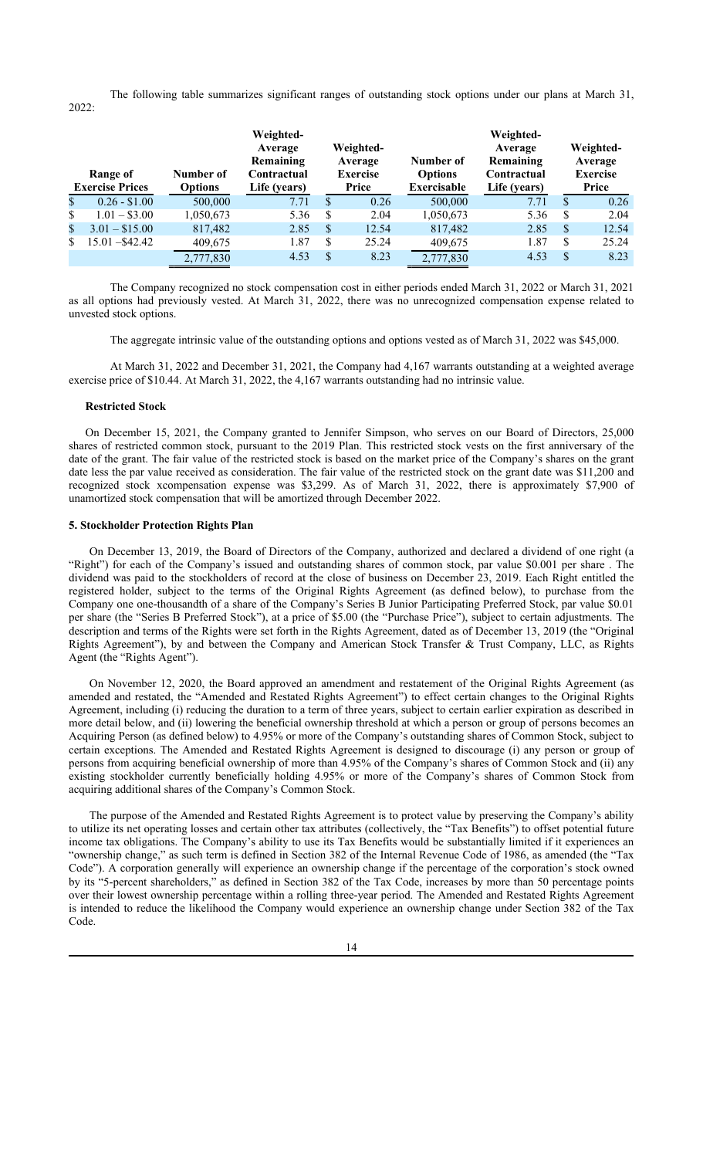The following table summarizes significant ranges of outstanding stock options under our plans at March 31, 2022:

| Range of<br><b>Exercise Prices</b> | Number of<br><b>Options</b> | Weighted-<br>Average<br>Remaining<br>Contractual<br>Life (years) |   | Weighted-<br>Average<br><b>Exercise</b><br>Price | Number of<br><b>Options</b><br><b>Exercisable</b> | Weighted-<br>Average<br>Remaining<br>Contractual<br>Life (years) |    | Weighted-<br>Average<br><b>Exercise</b><br>Price |
|------------------------------------|-----------------------------|------------------------------------------------------------------|---|--------------------------------------------------|---------------------------------------------------|------------------------------------------------------------------|----|--------------------------------------------------|
| \$<br>$0.26 - $1.00$               | 500,000                     | 7.71                                                             | S | 0.26                                             | 500,000                                           | 7.71                                                             | \$ | 0.26                                             |
| \$<br>$1.01 - $3.00$               | 1,050,673                   | 5.36                                                             | S | 2.04                                             | 1,050,673                                         | 5.36                                                             | \$ | 2.04                                             |
| \$<br>$3.01 - $15.00$              | 817,482                     | 2.85                                                             | S | 12.54                                            | 817,482                                           | 2.85                                                             | \$ | 12.54                                            |
| \$<br>$15.01 - $42.42$             | 409,675                     | 1.87                                                             | S | 25.24                                            | 409,675                                           | 1.87                                                             | S  | 25.24                                            |
|                                    | 2,777,830                   | 4.53                                                             | S | 8.23                                             | 2,777,830                                         | 4.53                                                             | \$ | 8.23                                             |

The Company recognized no stock compensation cost in either periods ended March 31, 2022 or March 31, 2021 as all options had previously vested. At March 31, 2022, there was no unrecognized compensation expense related to unvested stock options.

The aggregate intrinsic value of the outstanding options and options vested as of March 31, 2022 was \$45,000.

At March 31, 2022 and December 31, 2021, the Company had 4,167 warrants outstanding at a weighted average exercise price of \$10.44. At March 31, 2022, the 4,167 warrants outstanding had no intrinsic value.

### **Restricted Stock**

On December 15, 2021, the Company granted to Jennifer Simpson, who serves on our Board of Directors, 25,000 shares of restricted common stock, pursuant to the 2019 Plan. This restricted stock vests on the first anniversary of the date of the grant. The fair value of the restricted stock is based on the market price of the Company's shares on the grant date less the par value received as consideration. The fair value of the restricted stock on the grant date was \$11,200 and recognized stock xcompensation expense was \$3,299. As of March 31, 2022, there is approximately \$7,900 of unamortized stock compensation that will be amortized through December 2022.

#### **5. Stockholder Protection Rights Plan**

On December 13, 2019, the Board of Directors of the Company, authorized and declared a dividend of one right (a "Right") for each of the Company's issued and outstanding shares of common stock, par value \$0.001 per share . The dividend was paid to the stockholders of record at the close of business on December 23, 2019. Each Right entitled the registered holder, subject to the terms of the Original Rights Agreement (as defined below), to purchase from the Company one one-thousandth of a share of the Company's Series B Junior Participating Preferred Stock, par value \$0.01 per share (the "Series B Preferred Stock"), at a price of \$5.00 (the "Purchase Price"), subject to certain adjustments. The description and terms of the Rights were set forth in the Rights Agreement, dated as of December 13, 2019 (the "Original Rights Agreement"), by and between the Company and American Stock Transfer & Trust Company, LLC, as Rights Agent (the "Rights Agent").

On November 12, 2020, the Board approved an amendment and restatement of the Original Rights Agreement (as amended and restated, the "Amended and Restated Rights Agreement") to effect certain changes to the Original Rights Agreement, including (i) reducing the duration to a term of three years, subject to certain earlier expiration as described in more detail below, and (ii) lowering the beneficial ownership threshold at which a person or group of persons becomes an Acquiring Person (as defined below) to 4.95% or more of the Company's outstanding shares of Common Stock, subject to certain exceptions. The Amended and Restated Rights Agreement is designed to discourage (i) any person or group of persons from acquiring beneficial ownership of more than 4.95% of the Company's shares of Common Stock and (ii) any existing stockholder currently beneficially holding 4.95% or more of the Company's shares of Common Stock from acquiring additional shares of the Company's Common Stock.

The purpose of the Amended and Restated Rights Agreement is to protect value by preserving the Company's ability to utilize its net operating losses and certain other tax attributes (collectively, the "Tax Benefits") to offset potential future income tax obligations. The Company's ability to use its Tax Benefits would be substantially limited if it experiences an "ownership change," as such term is defined in Section 382 of the Internal Revenue Code of 1986, as amended (the "Tax Code"). A corporation generally will experience an ownership change if the percentage of the corporation's stock owned by its "5-percent shareholders," as defined in Section 382 of the Tax Code, increases by more than 50 percentage points over their lowest ownership percentage within a rolling three-year period. The Amended and Restated Rights Agreement is intended to reduce the likelihood the Company would experience an ownership change under Section 382 of the Tax Code.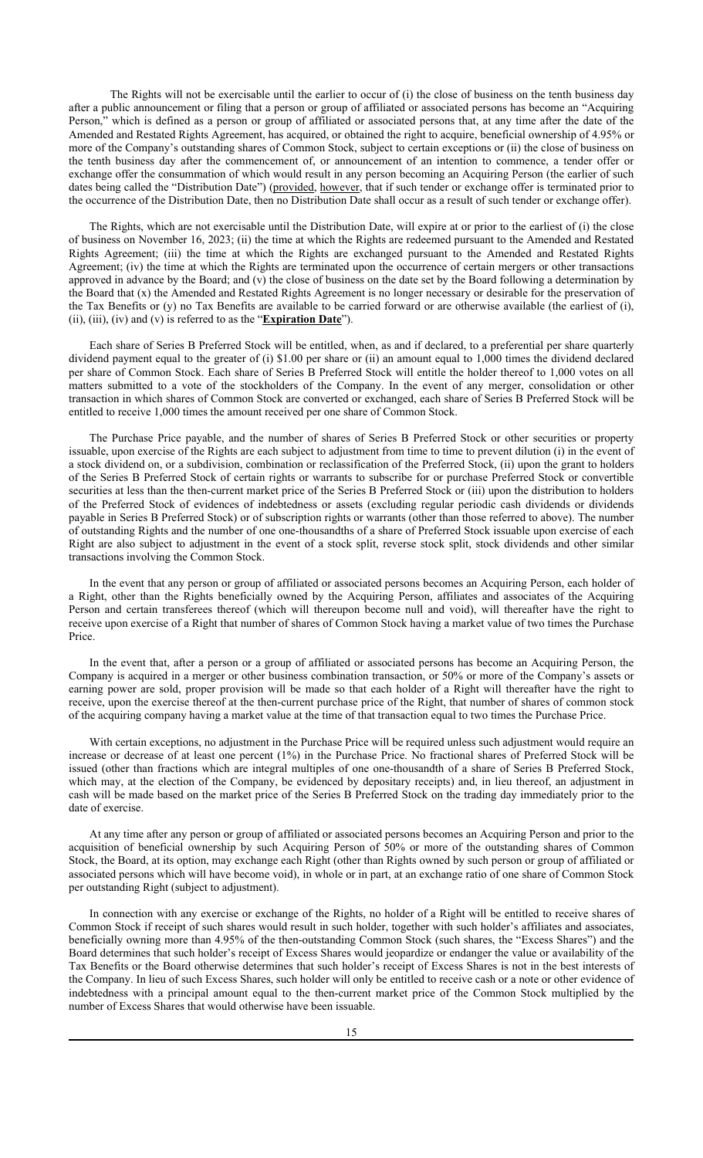The Rights will not be exercisable until the earlier to occur of (i) the close of business on the tenth business day after a public announcement or filing that a person or group of affiliated or associated persons has become an "Acquiring Person," which is defined as a person or group of affiliated or associated persons that, at any time after the date of the Amended and Restated Rights Agreement, has acquired, or obtained the right to acquire, beneficial ownership of 4.95% or more of the Company's outstanding shares of Common Stock, subject to certain exceptions or (ii) the close of business on the tenth business day after the commencement of, or announcement of an intention to commence, a tender offer or exchange offer the consummation of which would result in any person becoming an Acquiring Person (the earlier of such dates being called the "Distribution Date") (provided, however, that if such tender or exchange offer is terminated prior to the occurrence of the Distribution Date, then no Distribution Date shall occur as a result of such tender or exchange offer).

The Rights, which are not exercisable until the Distribution Date, will expire at or prior to the earliest of (i) the close of business on November 16, 2023; (ii) the time at which the Rights are redeemed pursuant to the Amended and Restated Rights Agreement; (iii) the time at which the Rights are exchanged pursuant to the Amended and Restated Rights Agreement; (iv) the time at which the Rights are terminated upon the occurrence of certain mergers or other transactions approved in advance by the Board; and (v) the close of business on the date set by the Board following a determination by the Board that (x) the Amended and Restated Rights Agreement is no longer necessary or desirable for the preservation of the Tax Benefits or (y) no Tax Benefits are available to be carried forward or are otherwise available (the earliest of (i), (ii), (iii), (iv) and (v) is referred to as the "**Expiration Date**").

Each share of Series B Preferred Stock will be entitled, when, as and if declared, to a preferential per share quarterly dividend payment equal to the greater of (i) \$1.00 per share or (ii) an amount equal to 1,000 times the dividend declared per share of Common Stock. Each share of Series B Preferred Stock will entitle the holder thereof to 1,000 votes on all matters submitted to a vote of the stockholders of the Company. In the event of any merger, consolidation or other transaction in which shares of Common Stock are converted or exchanged, each share of Series B Preferred Stock will be entitled to receive 1,000 times the amount received per one share of Common Stock.

The Purchase Price payable, and the number of shares of Series B Preferred Stock or other securities or property issuable, upon exercise of the Rights are each subject to adjustment from time to time to prevent dilution (i) in the event of a stock dividend on, or a subdivision, combination or reclassification of the Preferred Stock, (ii) upon the grant to holders of the Series B Preferred Stock of certain rights or warrants to subscribe for or purchase Preferred Stock or convertible securities at less than the then-current market price of the Series B Preferred Stock or (iii) upon the distribution to holders of the Preferred Stock of evidences of indebtedness or assets (excluding regular periodic cash dividends or dividends payable in Series B Preferred Stock) or of subscription rights or warrants (other than those referred to above). The number of outstanding Rights and the number of one one-thousandths of a share of Preferred Stock issuable upon exercise of each Right are also subject to adjustment in the event of a stock split, reverse stock split, stock dividends and other similar transactions involving the Common Stock.

In the event that any person or group of affiliated or associated persons becomes an Acquiring Person, each holder of a Right, other than the Rights beneficially owned by the Acquiring Person, affiliates and associates of the Acquiring Person and certain transferees thereof (which will thereupon become null and void), will thereafter have the right to receive upon exercise of a Right that number of shares of Common Stock having a market value of two times the Purchase Price.

In the event that, after a person or a group of affiliated or associated persons has become an Acquiring Person, the Company is acquired in a merger or other business combination transaction, or 50% or more of the Company's assets or earning power are sold, proper provision will be made so that each holder of a Right will thereafter have the right to receive, upon the exercise thereof at the then-current purchase price of the Right, that number of shares of common stock of the acquiring company having a market value at the time of that transaction equal to two times the Purchase Price.

With certain exceptions, no adjustment in the Purchase Price will be required unless such adjustment would require an increase or decrease of at least one percent (1%) in the Purchase Price. No fractional shares of Preferred Stock will be issued (other than fractions which are integral multiples of one one-thousandth of a share of Series B Preferred Stock, which may, at the election of the Company, be evidenced by depositary receipts) and, in lieu thereof, an adjustment in cash will be made based on the market price of the Series B Preferred Stock on the trading day immediately prior to the date of exercise.

At any time after any person or group of affiliated or associated persons becomes an Acquiring Person and prior to the acquisition of beneficial ownership by such Acquiring Person of 50% or more of the outstanding shares of Common Stock, the Board, at its option, may exchange each Right (other than Rights owned by such person or group of affiliated or associated persons which will have become void), in whole or in part, at an exchange ratio of one share of Common Stock per outstanding Right (subject to adjustment).

In connection with any exercise or exchange of the Rights, no holder of a Right will be entitled to receive shares of Common Stock if receipt of such shares would result in such holder, together with such holder's affiliates and associates, beneficially owning more than 4.95% of the then-outstanding Common Stock (such shares, the "Excess Shares") and the Board determines that such holder's receipt of Excess Shares would jeopardize or endanger the value or availability of the Tax Benefits or the Board otherwise determines that such holder's receipt of Excess Shares is not in the best interests of the Company. In lieu of such Excess Shares, such holder will only be entitled to receive cash or a note or other evidence of indebtedness with a principal amount equal to the then-current market price of the Common Stock multiplied by the number of Excess Shares that would otherwise have been issuable.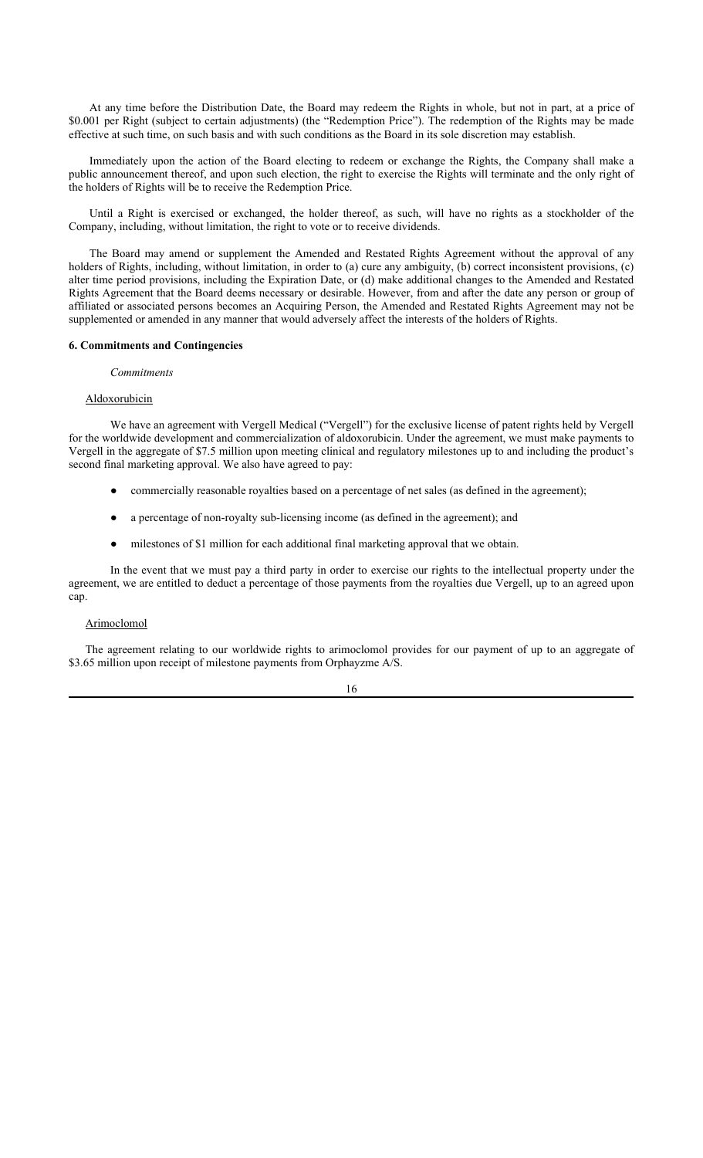At any time before the Distribution Date, the Board may redeem the Rights in whole, but not in part, at a price of \$0.001 per Right (subject to certain adjustments) (the "Redemption Price"). The redemption of the Rights may be made effective at such time, on such basis and with such conditions as the Board in its sole discretion may establish.

Immediately upon the action of the Board electing to redeem or exchange the Rights, the Company shall make a public announcement thereof, and upon such election, the right to exercise the Rights will terminate and the only right of the holders of Rights will be to receive the Redemption Price.

Until a Right is exercised or exchanged, the holder thereof, as such, will have no rights as a stockholder of the Company, including, without limitation, the right to vote or to receive dividends.

The Board may amend or supplement the Amended and Restated Rights Agreement without the approval of any holders of Rights, including, without limitation, in order to (a) cure any ambiguity, (b) correct inconsistent provisions, (c) alter time period provisions, including the Expiration Date, or (d) make additional changes to the Amended and Restated Rights Agreement that the Board deems necessary or desirable. However, from and after the date any person or group of affiliated or associated persons becomes an Acquiring Person, the Amended and Restated Rights Agreement may not be supplemented or amended in any manner that would adversely affect the interests of the holders of Rights.

#### **6. Commitments and Contingencies**

#### *Commitments*

### **Aldoxorubicin**

We have an agreement with Vergell Medical ("Vergell") for the exclusive license of patent rights held by Vergell for the worldwide development and commercialization of aldoxorubicin. Under the agreement, we must make payments to Vergell in the aggregate of \$7.5 million upon meeting clinical and regulatory milestones up to and including the product's second final marketing approval. We also have agreed to pay:

- Ɣ commercially reasonable royalties based on a percentage of net sales (as defined in the agreement);
- Ɣ a percentage of non-royalty sub-licensing income (as defined in the agreement); and
- milestones of \$1 million for each additional final marketing approval that we obtain.

In the event that we must pay a third party in order to exercise our rights to the intellectual property under the agreement, we are entitled to deduct a percentage of those payments from the royalties due Vergell, up to an agreed upon cap.

#### Arimoclomol

The agreement relating to our worldwide rights to arimoclomol provides for our payment of up to an aggregate of \$3.65 million upon receipt of milestone payments from Orphayzme A/S.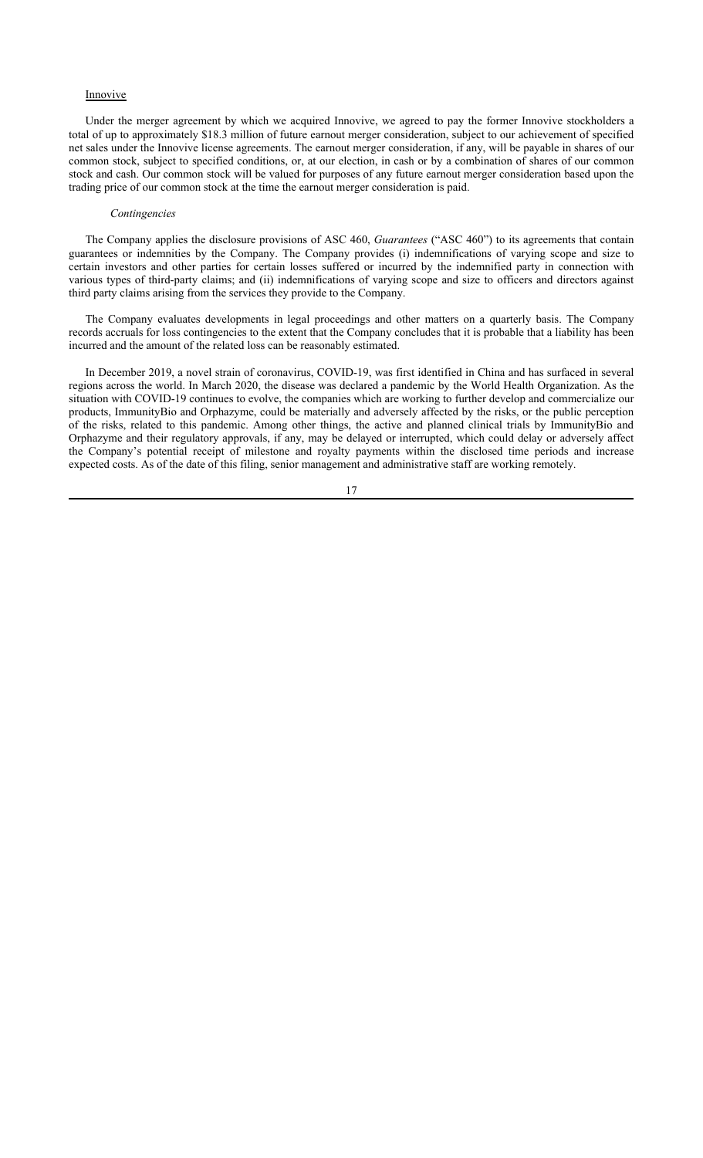#### Innovive

Under the merger agreement by which we acquired Innovive, we agreed to pay the former Innovive stockholders a total of up to approximately \$18.3 million of future earnout merger consideration, subject to our achievement of specified net sales under the Innovive license agreements. The earnout merger consideration, if any, will be payable in shares of our common stock, subject to specified conditions, or, at our election, in cash or by a combination of shares of our common stock and cash. Our common stock will be valued for purposes of any future earnout merger consideration based upon the trading price of our common stock at the time the earnout merger consideration is paid.

#### *Contingencies*

The Company applies the disclosure provisions of ASC 460, *Guarantees* ("ASC 460") to its agreements that contain guarantees or indemnities by the Company. The Company provides (i) indemnifications of varying scope and size to certain investors and other parties for certain losses suffered or incurred by the indemnified party in connection with various types of third-party claims; and (ii) indemnifications of varying scope and size to officers and directors against third party claims arising from the services they provide to the Company.

The Company evaluates developments in legal proceedings and other matters on a quarterly basis. The Company records accruals for loss contingencies to the extent that the Company concludes that it is probable that a liability has been incurred and the amount of the related loss can be reasonably estimated.

In December 2019, a novel strain of coronavirus, COVID-19, was first identified in China and has surfaced in several regions across the world. In March 2020, the disease was declared a pandemic by the World Health Organization. As the situation with COVID-19 continues to evolve, the companies which are working to further develop and commercialize our products, ImmunityBio and Orphazyme, could be materially and adversely affected by the risks, or the public perception of the risks, related to this pandemic. Among other things, the active and planned clinical trials by ImmunityBio and Orphazyme and their regulatory approvals, if any, may be delayed or interrupted, which could delay or adversely affect the Company's potential receipt of milestone and royalty payments within the disclosed time periods and increase expected costs. As of the date of this filing, senior management and administrative staff are working remotely.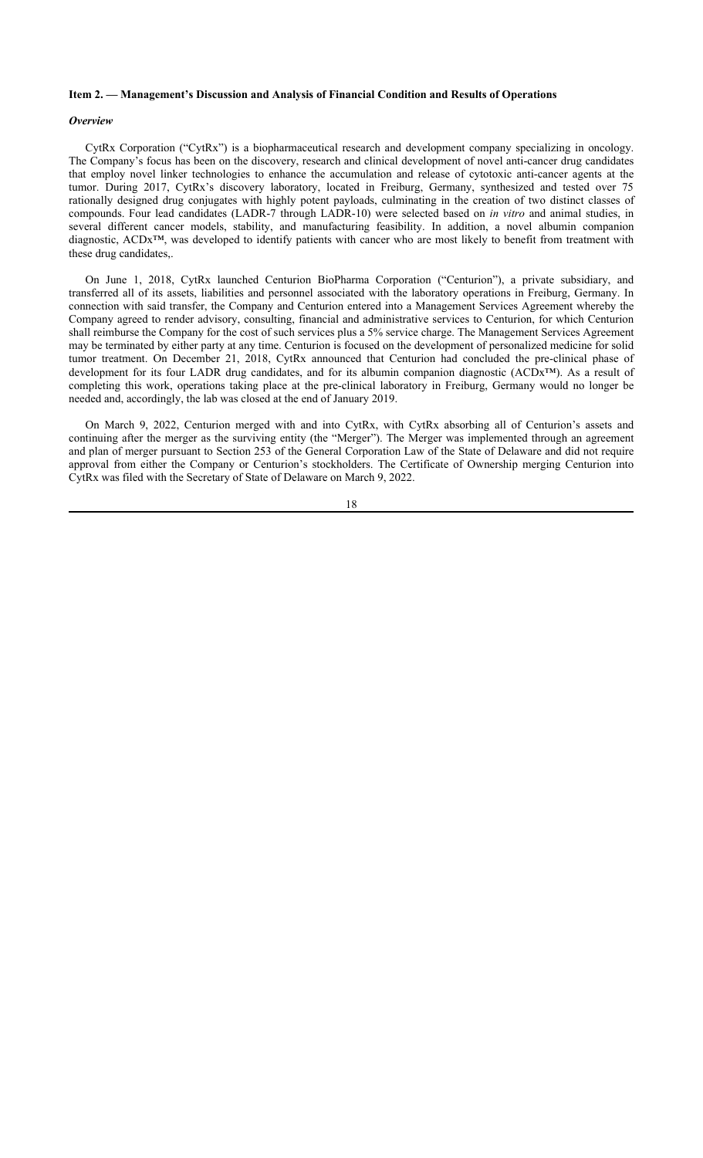#### **Item 2. — Management's Discussion and Analysis of Financial Condition and Results of Operations**

#### *Overview*

CytRx Corporation ("CytRx") is a biopharmaceutical research and development company specializing in oncology. The Company's focus has been on the discovery, research and clinical development of novel anti-cancer drug candidates that employ novel linker technologies to enhance the accumulation and release of cytotoxic anti-cancer agents at the tumor. During 2017, CytRx's discovery laboratory, located in Freiburg, Germany, synthesized and tested over 75 rationally designed drug conjugates with highly potent payloads, culminating in the creation of two distinct classes of compounds. Four lead candidates (LADR-7 through LADR-10) were selected based on *in vitro* and animal studies, in several different cancer models, stability, and manufacturing feasibility. In addition, a novel albumin companion diagnostic, ACDx™, was developed to identify patients with cancer who are most likely to benefit from treatment with these drug candidates,.

On June 1, 2018, CytRx launched Centurion BioPharma Corporation ("Centurion"), a private subsidiary, and transferred all of its assets, liabilities and personnel associated with the laboratory operations in Freiburg, Germany. In connection with said transfer, the Company and Centurion entered into a Management Services Agreement whereby the Company agreed to render advisory, consulting, financial and administrative services to Centurion, for which Centurion shall reimburse the Company for the cost of such services plus a 5% service charge. The Management Services Agreement may be terminated by either party at any time. Centurion is focused on the development of personalized medicine for solid tumor treatment. On December 21, 2018, CytRx announced that Centurion had concluded the pre-clinical phase of development for its four LADR drug candidates, and for its albumin companion diagnostic (ACDx™). As a result of completing this work, operations taking place at the pre-clinical laboratory in Freiburg, Germany would no longer be needed and, accordingly, the lab was closed at the end of January 2019.

On March 9, 2022, Centurion merged with and into CytRx, with CytRx absorbing all of Centurion's assets and continuing after the merger as the surviving entity (the "Merger"). The Merger was implemented through an agreement and plan of merger pursuant to Section 253 of the General Corporation Law of the State of Delaware and did not require approval from either the Company or Centurion's stockholders. The Certificate of Ownership merging Centurion into CytRx was filed with the Secretary of State of Delaware on March 9, 2022.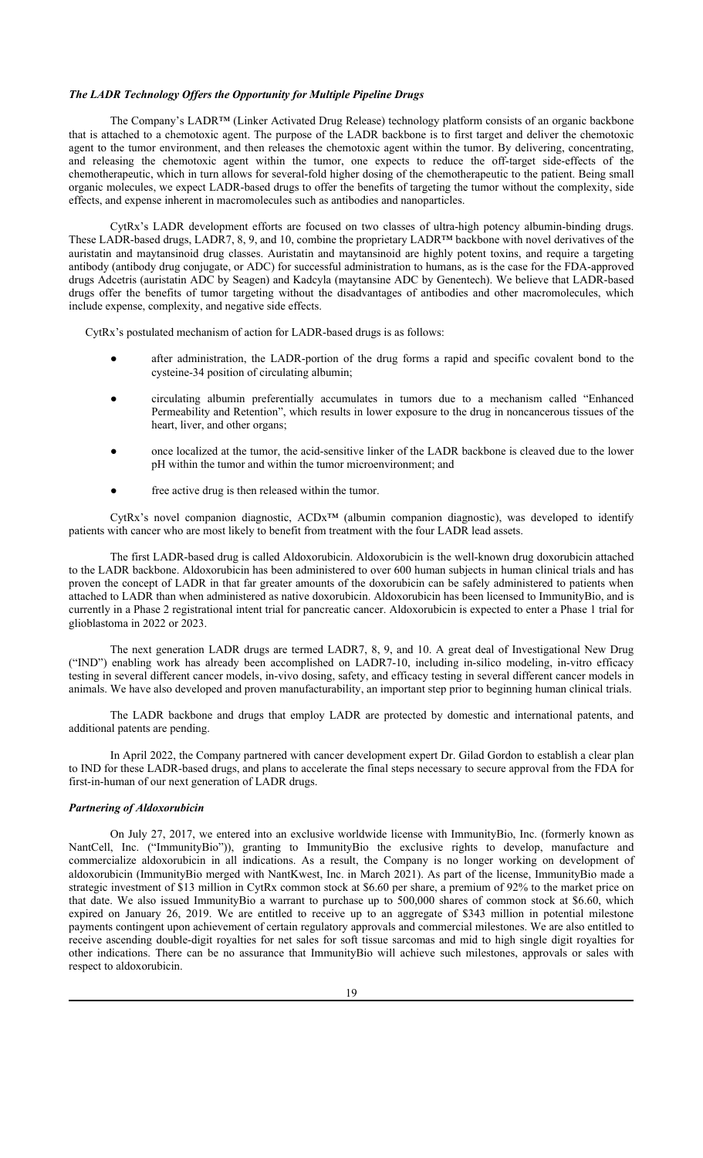#### *The LADR Technology Offers the Opportunity for Multiple Pipeline Drugs*

The Company's LADR™ (Linker Activated Drug Release) technology platform consists of an organic backbone that is attached to a chemotoxic agent. The purpose of the LADR backbone is to first target and deliver the chemotoxic agent to the tumor environment, and then releases the chemotoxic agent within the tumor. By delivering, concentrating, and releasing the chemotoxic agent within the tumor, one expects to reduce the off-target side-effects of the chemotherapeutic, which in turn allows for several-fold higher dosing of the chemotherapeutic to the patient. Being small organic molecules, we expect LADR-based drugs to offer the benefits of targeting the tumor without the complexity, side effects, and expense inherent in macromolecules such as antibodies and nanoparticles.

CytRx's LADR development efforts are focused on two classes of ultra-high potency albumin-binding drugs. These LADR-based drugs, LADR7, 8, 9, and 10, combine the proprietary LADR™ backbone with novel derivatives of the auristatin and maytansinoid drug classes. Auristatin and maytansinoid are highly potent toxins, and require a targeting antibody (antibody drug conjugate, or ADC) for successful administration to humans, as is the case for the FDA-approved drugs Adcetris (auristatin ADC by Seagen) and Kadcyla (maytansine ADC by Genentech). We believe that LADR-based drugs offer the benefits of tumor targeting without the disadvantages of antibodies and other macromolecules, which include expense, complexity, and negative side effects.

CytRx's postulated mechanism of action for LADR-based drugs is as follows:

- after administration, the LADR-portion of the drug forms a rapid and specific covalent bond to the cysteine-34 position of circulating albumin;
- Ɣ circulating albumin preferentially accumulates in tumors due to a mechanism called "Enhanced Permeability and Retention", which results in lower exposure to the drug in noncancerous tissues of the heart, liver, and other organs;
- Ɣ once localized at the tumor, the acid-sensitive linker of the LADR backbone is cleaved due to the lower pH within the tumor and within the tumor microenvironment; and
- free active drug is then released within the tumor.

CytRx's novel companion diagnostic, ACDx™ (albumin companion diagnostic), was developed to identify patients with cancer who are most likely to benefit from treatment with the four LADR lead assets.

The first LADR-based drug is called Aldoxorubicin. Aldoxorubicin is the well-known drug doxorubicin attached to the LADR backbone. Aldoxorubicin has been administered to over 600 human subjects in human clinical trials and has proven the concept of LADR in that far greater amounts of the doxorubicin can be safely administered to patients when attached to LADR than when administered as native doxorubicin. Aldoxorubicin has been licensed to ImmunityBio, and is currently in a Phase 2 registrational intent trial for pancreatic cancer. Aldoxorubicin is expected to enter a Phase 1 trial for glioblastoma in 2022 or 2023.

The next generation LADR drugs are termed LADR7, 8, 9, and 10. A great deal of Investigational New Drug ("IND") enabling work has already been accomplished on LADR7-10, including in-silico modeling, in-vitro efficacy testing in several different cancer models, in-vivo dosing, safety, and efficacy testing in several different cancer models in animals. We have also developed and proven manufacturability, an important step prior to beginning human clinical trials.

The LADR backbone and drugs that employ LADR are protected by domestic and international patents, and additional patents are pending.

In April 2022, the Company partnered with cancer development expert Dr. Gilad Gordon to establish a clear plan to IND for these LADR-based drugs, and plans to accelerate the final steps necessary to secure approval from the FDA for first-in-human of our next generation of LADR drugs.

#### *Partnering of Aldoxorubicin*

On July 27, 2017, we entered into an exclusive worldwide license with ImmunityBio, Inc. (formerly known as NantCell, Inc. ("ImmunityBio")), granting to ImmunityBio the exclusive rights to develop, manufacture and commercialize aldoxorubicin in all indications. As a result, the Company is no longer working on development of aldoxorubicin (ImmunityBio merged with NantKwest, Inc. in March 2021). As part of the license, ImmunityBio made a strategic investment of \$13 million in CytRx common stock at \$6.60 per share, a premium of 92% to the market price on that date. We also issued ImmunityBio a warrant to purchase up to 500,000 shares of common stock at \$6.60, which expired on January 26, 2019. We are entitled to receive up to an aggregate of \$343 million in potential milestone payments contingent upon achievement of certain regulatory approvals and commercial milestones. We are also entitled to receive ascending double-digit royalties for net sales for soft tissue sarcomas and mid to high single digit royalties for other indications. There can be no assurance that ImmunityBio will achieve such milestones, approvals or sales with respect to aldoxorubicin.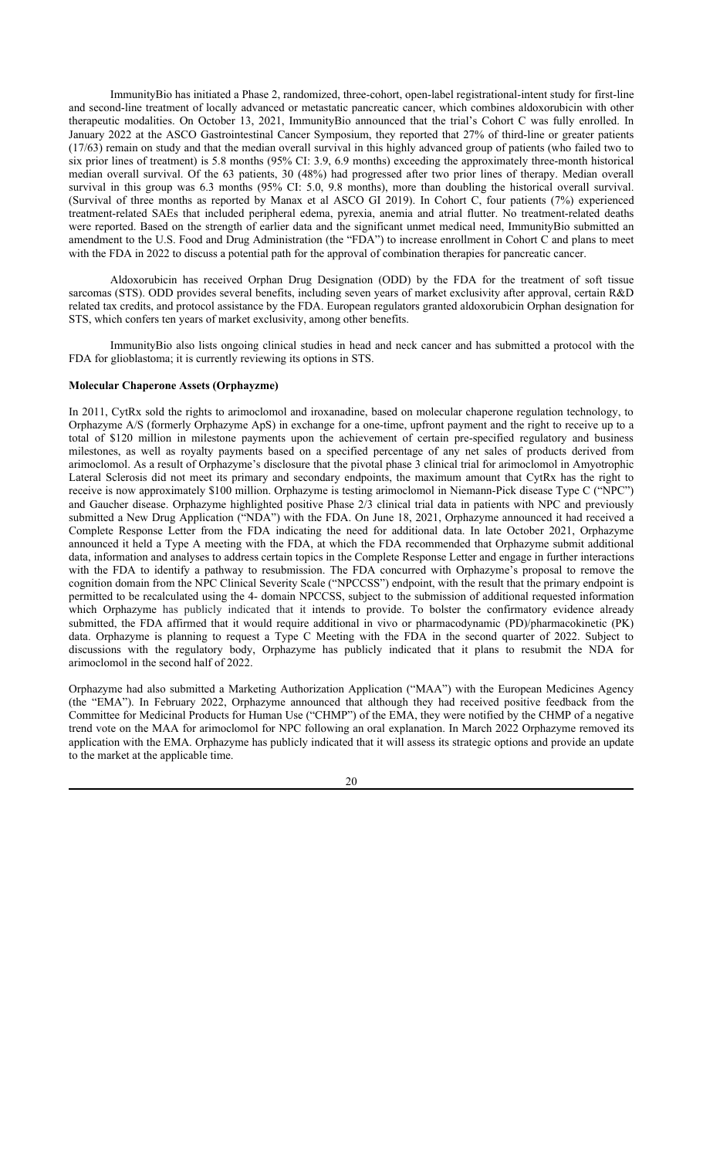ImmunityBio has initiated a Phase 2, randomized, three-cohort, open-label registrational-intent study for first-line and second-line treatment of locally advanced or metastatic pancreatic cancer, which combines aldoxorubicin with other therapeutic modalities. On October 13, 2021, ImmunityBio announced that the trial's Cohort C was fully enrolled. In January 2022 at the ASCO Gastrointestinal Cancer Symposium, they reported that 27% of third-line or greater patients (17/63) remain on study and that the median overall survival in this highly advanced group of patients (who failed two to six prior lines of treatment) is 5.8 months (95% CI: 3.9, 6.9 months) exceeding the approximately three-month historical median overall survival. Of the 63 patients, 30 (48%) had progressed after two prior lines of therapy. Median overall survival in this group was 6.3 months (95% CI: 5.0, 9.8 months), more than doubling the historical overall survival. (Survival of three months as reported by Manax et al ASCO GI 2019). In Cohort C, four patients (7%) experienced treatment-related SAEs that included peripheral edema, pyrexia, anemia and atrial flutter. No treatment-related deaths were reported. Based on the strength of earlier data and the significant unmet medical need, ImmunityBio submitted an amendment to the U.S. Food and Drug Administration (the "FDA") to increase enrollment in Cohort C and plans to meet with the FDA in 2022 to discuss a potential path for the approval of combination therapies for pancreatic cancer.

Aldoxorubicin has received Orphan Drug Designation (ODD) by the FDA for the treatment of soft tissue sarcomas (STS). ODD provides several benefits, including seven years of market exclusivity after approval, certain R&D related tax credits, and protocol assistance by the FDA. European regulators granted aldoxorubicin Orphan designation for STS, which confers ten years of market exclusivity, among other benefits.

ImmunityBio also lists ongoing clinical studies in head and neck cancer and has submitted a protocol with the FDA for glioblastoma; it is currently reviewing its options in STS.

#### **Molecular Chaperone Assets (Orphayzme)**

In 2011, CytRx sold the rights to arimoclomol and iroxanadine, based on molecular chaperone regulation technology, to Orphazyme A/S (formerly Orphazyme ApS) in exchange for a one-time, upfront payment and the right to receive up to a total of \$120 million in milestone payments upon the achievement of certain pre-specified regulatory and business milestones, as well as royalty payments based on a specified percentage of any net sales of products derived from arimoclomol. As a result of Orphazyme's disclosure that the pivotal phase 3 clinical trial for arimoclomol in Amyotrophic Lateral Sclerosis did not meet its primary and secondary endpoints, the maximum amount that CytRx has the right to receive is now approximately \$100 million. Orphazyme is testing arimoclomol in Niemann-Pick disease Type C ("NPC") and Gaucher disease. Orphazyme highlighted positive Phase 2/3 clinical trial data in patients with NPC and previously submitted a New Drug Application ("NDA") with the FDA. On June 18, 2021, Orphazyme announced it had received a Complete Response Letter from the FDA indicating the need for additional data. In late October 2021, Orphazyme announced it held a Type A meeting with the FDA, at which the FDA recommended that Orphazyme submit additional data, information and analyses to address certain topics in the Complete Response Letter and engage in further interactions with the FDA to identify a pathway to resubmission. The FDA concurred with Orphazyme's proposal to remove the cognition domain from the NPC Clinical Severity Scale ("NPCCSS") endpoint, with the result that the primary endpoint is permitted to be recalculated using the 4- domain NPCCSS, subject to the submission of additional requested information which Orphazyme has publicly indicated that it intends to provide. To bolster the confirmatory evidence already submitted, the FDA affirmed that it would require additional in vivo or pharmacodynamic (PD)/pharmacokinetic (PK) data. Orphazyme is planning to request a Type C Meeting with the FDA in the second quarter of 2022. Subject to discussions with the regulatory body, Orphazyme has publicly indicated that it plans to resubmit the NDA for arimoclomol in the second half of 2022.

Orphazyme had also submitted a Marketing Authorization Application ("MAA") with the European Medicines Agency (the "EMA"). In February 2022, Orphazyme announced that although they had received positive feedback from the Committee for Medicinal Products for Human Use ("CHMP") of the EMA, they were notified by the CHMP of a negative trend vote on the MAA for arimoclomol for NPC following an oral explanation. In March 2022 Orphazyme removed its application with the EMA. Orphazyme has publicly indicated that it will assess its strategic options and provide an update to the market at the applicable time.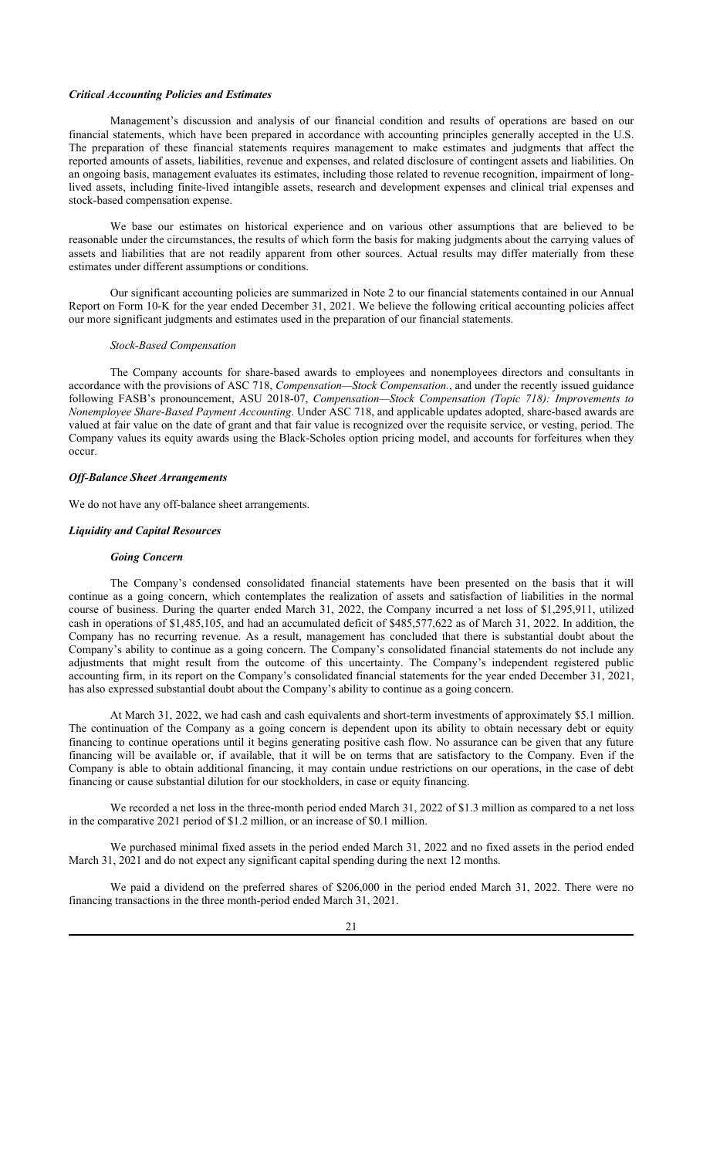#### *Critical Accounting Policies and Estimates*

Management's discussion and analysis of our financial condition and results of operations are based on our financial statements, which have been prepared in accordance with accounting principles generally accepted in the U.S. The preparation of these financial statements requires management to make estimates and judgments that affect the reported amounts of assets, liabilities, revenue and expenses, and related disclosure of contingent assets and liabilities. On an ongoing basis, management evaluates its estimates, including those related to revenue recognition, impairment of longlived assets, including finite-lived intangible assets, research and development expenses and clinical trial expenses and stock-based compensation expense.

We base our estimates on historical experience and on various other assumptions that are believed to be reasonable under the circumstances, the results of which form the basis for making judgments about the carrying values of assets and liabilities that are not readily apparent from other sources. Actual results may differ materially from these estimates under different assumptions or conditions.

Our significant accounting policies are summarized in Note 2 to our financial statements contained in our Annual Report on Form 10-K for the year ended December 31, 2021. We believe the following critical accounting policies affect our more significant judgments and estimates used in the preparation of our financial statements.

#### *Stock-Based Compensation*

The Company accounts for share-based awards to employees and nonemployees directors and consultants in accordance with the provisions of ASC 718, *Compensation—Stock Compensation.*, and under the recently issued guidance following FASB's pronouncement, ASU 2018-07, *Compensation—Stock Compensation (Topic 718): Improvements to Nonemployee Share-Based Payment Accounting*. Under ASC 718, and applicable updates adopted, share-based awards are valued at fair value on the date of grant and that fair value is recognized over the requisite service, or vesting, period. The Company values its equity awards using the Black-Scholes option pricing model, and accounts for forfeitures when they occur.

#### *Off-Balance Sheet Arrangements*

We do not have any off-balance sheet arrangements.

#### *Liquidity and Capital Resources*

#### *Going Concern*

The Company's condensed consolidated financial statements have been presented on the basis that it will continue as a going concern, which contemplates the realization of assets and satisfaction of liabilities in the normal course of business. During the quarter ended March 31, 2022, the Company incurred a net loss of \$1,295,911, utilized cash in operations of \$1,485,105, and had an accumulated deficit of \$485,577,622 as of March 31, 2022. In addition, the Company has no recurring revenue. As a result, management has concluded that there is substantial doubt about the Company's ability to continue as a going concern. The Company's consolidated financial statements do not include any adjustments that might result from the outcome of this uncertainty. The Company's independent registered public accounting firm, in its report on the Company's consolidated financial statements for the year ended December 31, 2021, has also expressed substantial doubt about the Company's ability to continue as a going concern.

At March 31, 2022, we had cash and cash equivalents and short-term investments of approximately \$5.1 million. The continuation of the Company as a going concern is dependent upon its ability to obtain necessary debt or equity financing to continue operations until it begins generating positive cash flow. No assurance can be given that any future financing will be available or, if available, that it will be on terms that are satisfactory to the Company. Even if the Company is able to obtain additional financing, it may contain undue restrictions on our operations, in the case of debt financing or cause substantial dilution for our stockholders, in case or equity financing.

We recorded a net loss in the three-month period ended March 31, 2022 of \$1.3 million as compared to a net loss in the comparative 2021 period of \$1.2 million, or an increase of \$0.1 million.

We purchased minimal fixed assets in the period ended March 31, 2022 and no fixed assets in the period ended March 31, 2021 and do not expect any significant capital spending during the next 12 months.

We paid a dividend on the preferred shares of \$206,000 in the period ended March 31, 2022. There were no financing transactions in the three month-period ended March 31, 2021.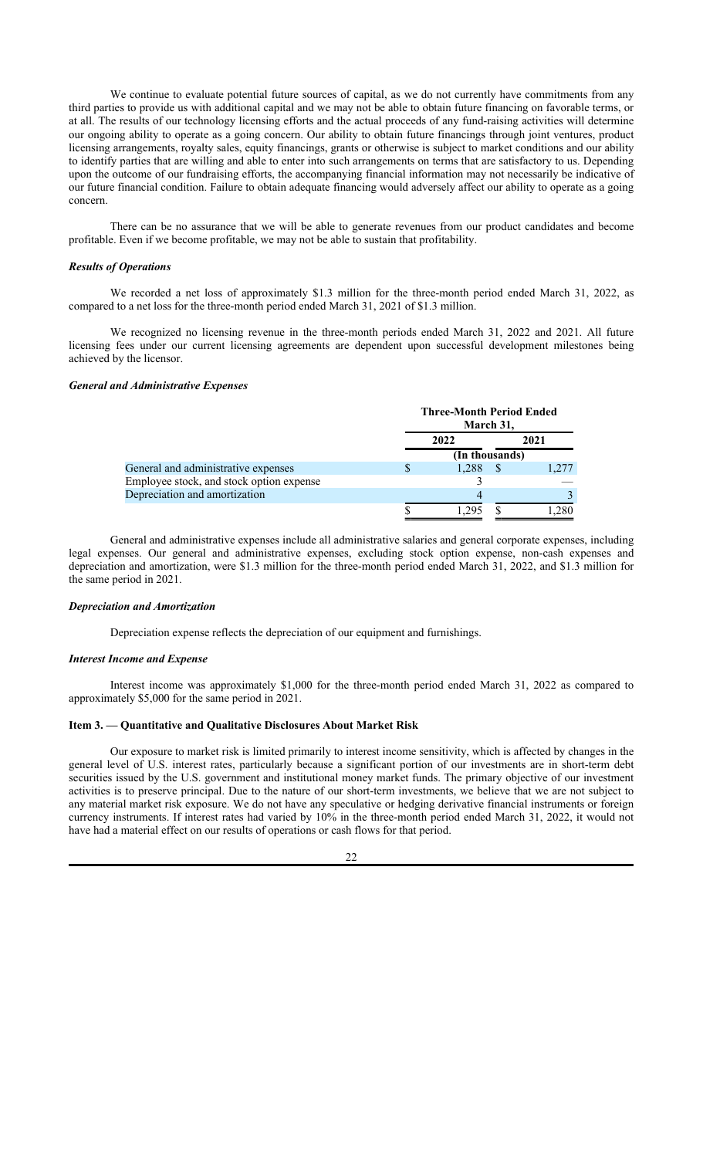We continue to evaluate potential future sources of capital, as we do not currently have commitments from any third parties to provide us with additional capital and we may not be able to obtain future financing on favorable terms, or at all. The results of our technology licensing efforts and the actual proceeds of any fund-raising activities will determine our ongoing ability to operate as a going concern. Our ability to obtain future financings through joint ventures, product licensing arrangements, royalty sales, equity financings, grants or otherwise is subject to market conditions and our ability to identify parties that are willing and able to enter into such arrangements on terms that are satisfactory to us. Depending upon the outcome of our fundraising efforts, the accompanying financial information may not necessarily be indicative of our future financial condition. Failure to obtain adequate financing would adversely affect our ability to operate as a going concern.

There can be no assurance that we will be able to generate revenues from our product candidates and become profitable. Even if we become profitable, we may not be able to sustain that profitability.

#### *Results of Operations*

We recorded a net loss of approximately \$1.3 million for the three-month period ended March 31, 2022, as compared to a net loss for the three-month period ended March 31, 2021 of \$1.3 million.

We recognized no licensing revenue in the three-month periods ended March 31, 2022 and 2021. All future licensing fees under our current licensing agreements are dependent upon successful development milestones being achieved by the licensor.

#### *General and Administrative Expenses*

|                                          | <b>Three-Month Period Ended</b><br>March 31, |      |
|------------------------------------------|----------------------------------------------|------|
|                                          | 2022                                         | 2021 |
|                                          | (In thousands)                               |      |
| General and administrative expenses      | 1.288                                        |      |
| Employee stock, and stock option expense |                                              |      |
| Depreciation and amortization            |                                              |      |
|                                          |                                              |      |

General and administrative expenses include all administrative salaries and general corporate expenses, including legal expenses. Our general and administrative expenses, excluding stock option expense, non-cash expenses and depreciation and amortization, were \$1.3 million for the three-month period ended March 31, 2022, and \$1.3 million for the same period in 2021.

#### *Depreciation and Amortization*

Depreciation expense reflects the depreciation of our equipment and furnishings.

#### *Interest Income and Expense*

Interest income was approximately \$1,000 for the three-month period ended March 31, 2022 as compared to approximately \$5,000 for the same period in 2021.

#### **Item 3. — Quantitative and Qualitative Disclosures About Market Risk**

Our exposure to market risk is limited primarily to interest income sensitivity, which is affected by changes in the general level of U.S. interest rates, particularly because a significant portion of our investments are in short-term debt securities issued by the U.S. government and institutional money market funds. The primary objective of our investment activities is to preserve principal. Due to the nature of our short-term investments, we believe that we are not subject to any material market risk exposure. We do not have any speculative or hedging derivative financial instruments or foreign currency instruments. If interest rates had varied by 10% in the three-month period ended March 31, 2022, it would not have had a material effect on our results of operations or cash flows for that period.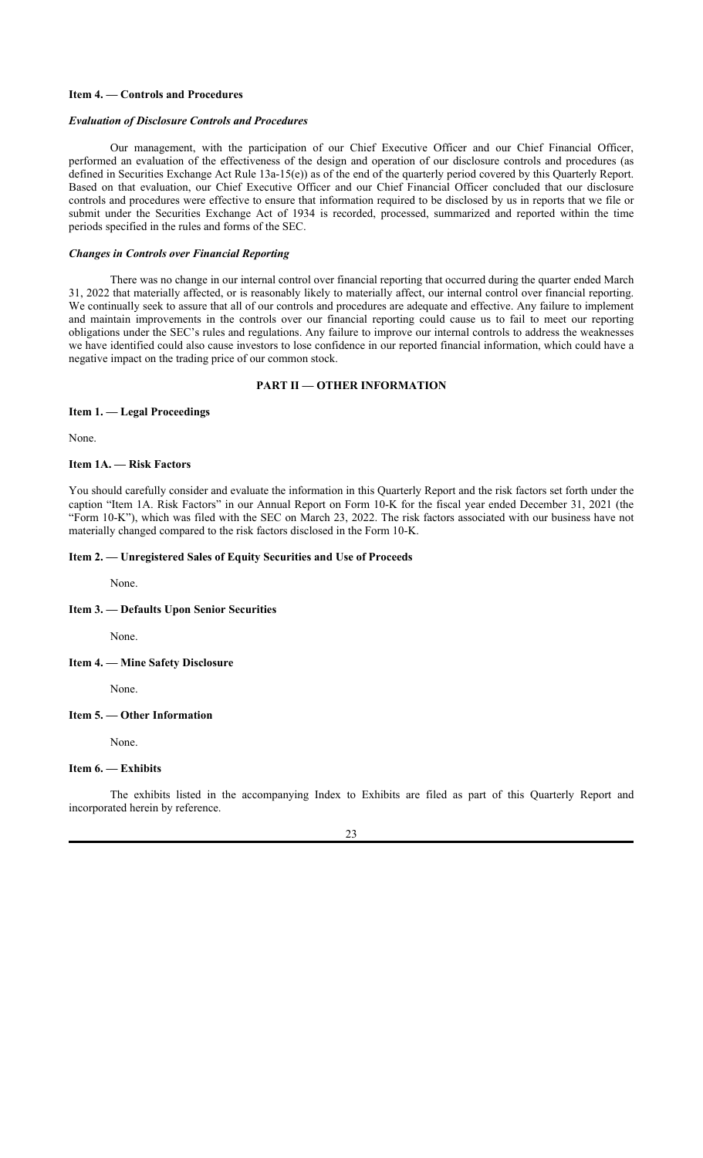#### **Item 4. — Controls and Procedures**

#### *Evaluation of Disclosure Controls and Procedures*

Our management, with the participation of our Chief Executive Officer and our Chief Financial Officer, performed an evaluation of the effectiveness of the design and operation of our disclosure controls and procedures (as defined in Securities Exchange Act Rule 13a-15(e)) as of the end of the quarterly period covered by this Quarterly Report. Based on that evaluation, our Chief Executive Officer and our Chief Financial Officer concluded that our disclosure controls and procedures were effective to ensure that information required to be disclosed by us in reports that we file or submit under the Securities Exchange Act of 1934 is recorded, processed, summarized and reported within the time periods specified in the rules and forms of the SEC.

#### *Changes in Controls over Financial Reporting*

There was no change in our internal control over financial reporting that occurred during the quarter ended March 31, 2022 that materially affected, or is reasonably likely to materially affect, our internal control over financial reporting. We continually seek to assure that all of our controls and procedures are adequate and effective. Any failure to implement and maintain improvements in the controls over our financial reporting could cause us to fail to meet our reporting obligations under the SEC's rules and regulations. Any failure to improve our internal controls to address the weaknesses we have identified could also cause investors to lose confidence in our reported financial information, which could have a negative impact on the trading price of our common stock.

#### **PART II — OTHER INFORMATION**

#### **Item 1. — Legal Proceedings**

None.

#### **Item 1A. — Risk Factors**

You should carefully consider and evaluate the information in this Quarterly Report and the risk factors set forth under the caption "Item 1A. Risk Factors" in our Annual Report on Form 10-K for the fiscal year ended December 31, 2021 (the "Form 10-K"), which was filed with the SEC on March 23, 2022. The risk factors associated with our business have not materially changed compared to the risk factors disclosed in the Form 10-K.

#### **Item 2. — Unregistered Sales of Equity Securities and Use of Proceeds**

None.

### **Item 3. — Defaults Upon Senior Securities**

None.

#### **Item 4. — Mine Safety Disclosure**

None.

### **Item 5. — Other Information**

None.

#### **Item 6. — Exhibits**

The exhibits listed in the accompanying Index to Exhibits are filed as part of this Quarterly Report and incorporated herein by reference.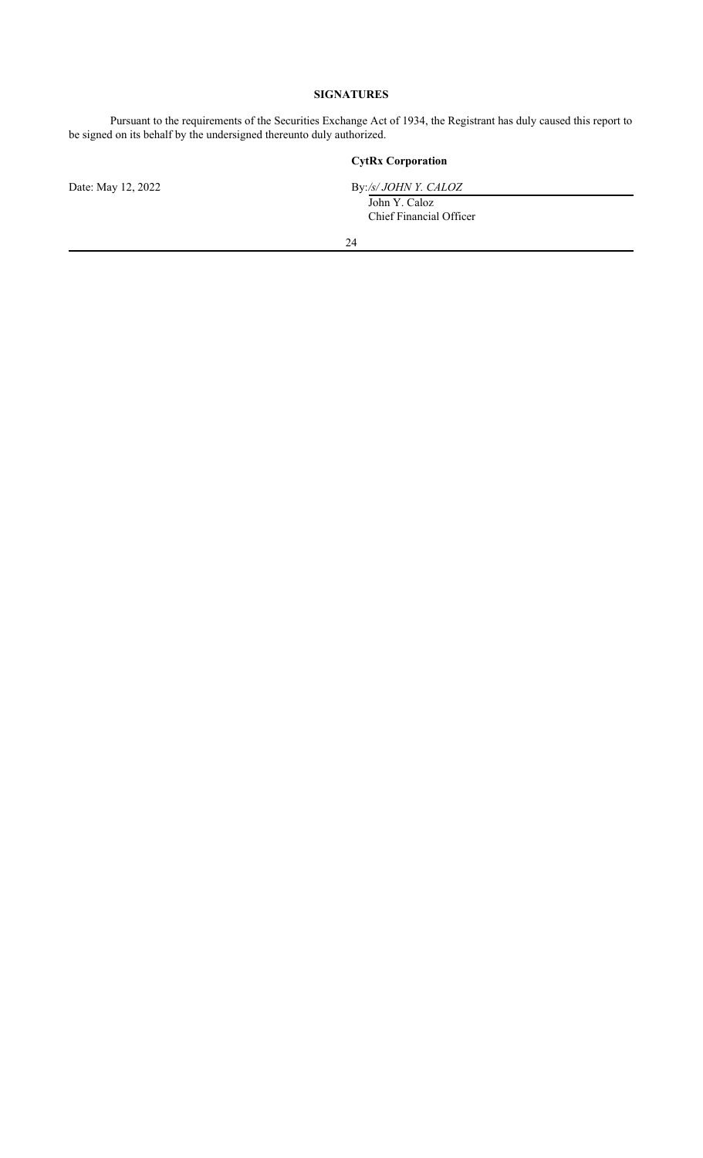# **SIGNATURES**

Pursuant to the requirements of the Securities Exchange Act of 1934, the Registrant has duly caused this report to be signed on its behalf by the undersigned thereunto duly authorized.

# **CytRx Corporation**

Date: May 12, 2022 By:*/s/ JOHN Y. CALOZ* John Y. Caloz

Chief Financial Officer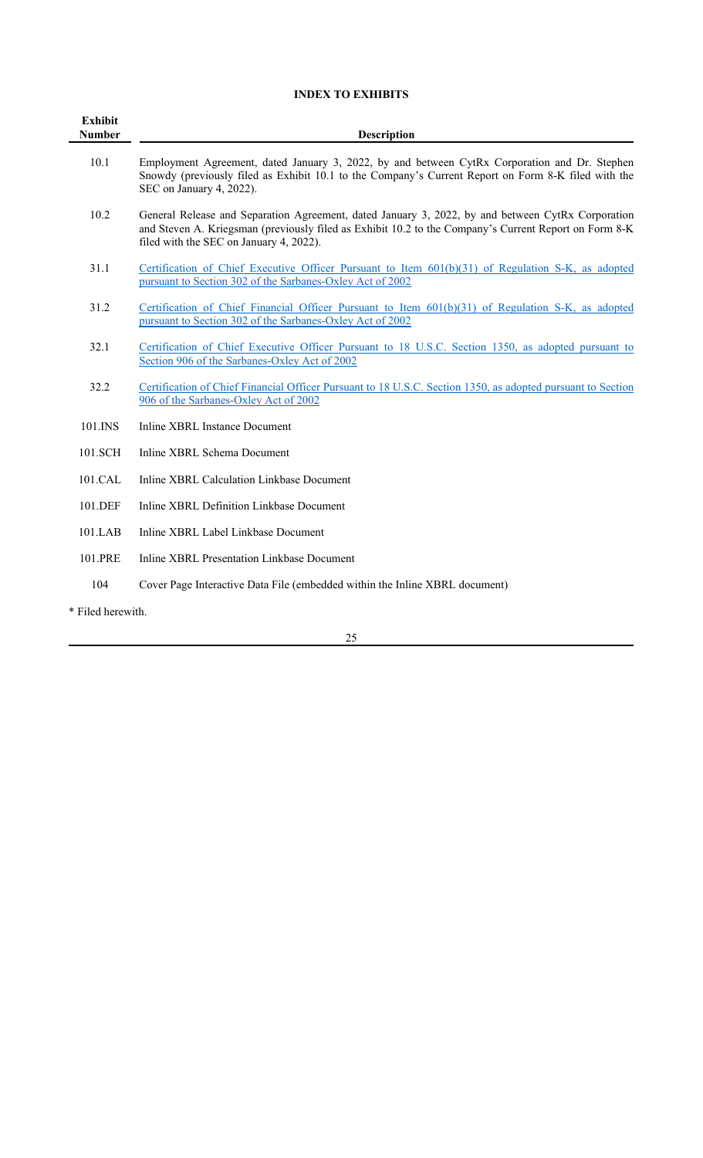| <b>Exhibit</b><br><b>Number</b> | <b>Description</b>                                                                                                                                                                                                                                    |
|---------------------------------|-------------------------------------------------------------------------------------------------------------------------------------------------------------------------------------------------------------------------------------------------------|
| 10.1                            | Employment Agreement, dated January 3, 2022, by and between CytRx Corporation and Dr. Stephen<br>Snowdy (previously filed as Exhibit 10.1 to the Company's Current Report on Form 8-K filed with the<br>SEC on January 4, 2022).                      |
| 10.2                            | General Release and Separation Agreement, dated January 3, 2022, by and between CytRx Corporation<br>and Steven A. Kriegsman (previously filed as Exhibit 10.2 to the Company's Current Report on Form 8-K<br>filed with the SEC on January 4, 2022). |
| 31.1                            | Certification of Chief Executive Officer Pursuant to Item 601(b)(31) of Regulation S-K, as adopted<br>pursuant to Section 302 of the Sarbanes-Oxley Act of 2002                                                                                       |
| 31.2                            | Certification of Chief Financial Officer Pursuant to Item $601(b)(31)$ of Regulation S-K, as adopted<br>pursuant to Section 302 of the Sarbanes-Oxley Act of 2002                                                                                     |
| 32.1                            | Certification of Chief Executive Officer Pursuant to 18 U.S.C. Section 1350, as adopted pursuant to<br>Section 906 of the Sarbanes-Oxley Act of 2002                                                                                                  |
| 32.2                            | Certification of Chief Financial Officer Pursuant to 18 U.S.C. Section 1350, as adopted pursuant to Section<br>906 of the Sarbanes-Oxley Act of 2002                                                                                                  |
| 101.INS                         | Inline XBRL Instance Document                                                                                                                                                                                                                         |
| 101.SCH                         | Inline XBRL Schema Document                                                                                                                                                                                                                           |
| 101.CAL                         | Inline XBRL Calculation Linkbase Document                                                                                                                                                                                                             |
| 101.DEF                         | Inline XBRL Definition Linkbase Document                                                                                                                                                                                                              |
| 101.LAB                         | Inline XBRL Label Linkbase Document                                                                                                                                                                                                                   |
| 101.PRE                         | Inline XBRL Presentation Linkbase Document                                                                                                                                                                                                            |
| 104                             | Cover Page Interactive Data File (embedded within the Inline XBRL document)                                                                                                                                                                           |

# **INDEX TO EXHIBITS**

\* Filed herewith.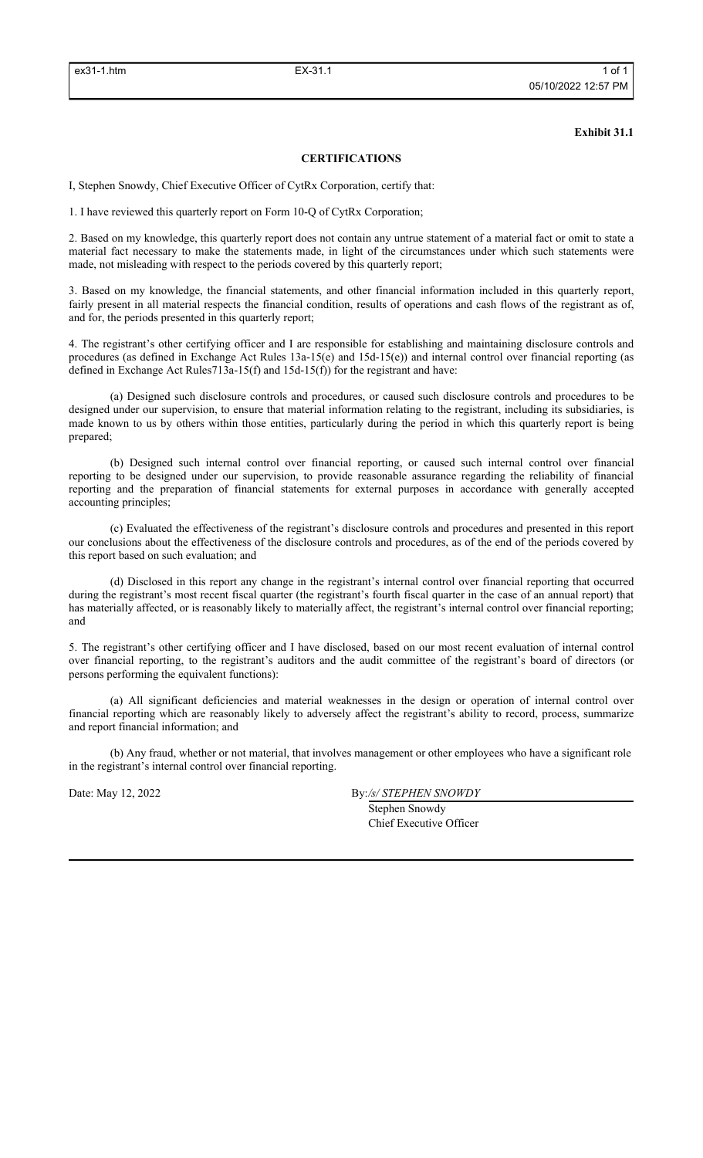**Exhibit 31.1**

#### **CERTIFICATIONS**

I, Stephen Snowdy, Chief Executive Officer of CytRx Corporation, certify that:

1. I have reviewed this quarterly report on Form 10-Q of CytRx Corporation;

2. Based on my knowledge, this quarterly report does not contain any untrue statement of a material fact or omit to state a material fact necessary to make the statements made, in light of the circumstances under which such statements were made, not misleading with respect to the periods covered by this quarterly report;

3. Based on my knowledge, the financial statements, and other financial information included in this quarterly report, fairly present in all material respects the financial condition, results of operations and cash flows of the registrant as of, and for, the periods presented in this quarterly report;

4. The registrant's other certifying officer and I are responsible for establishing and maintaining disclosure controls and procedures (as defined in Exchange Act Rules 13a-15(e) and 15d-15(e)) and internal control over financial reporting (as defined in Exchange Act Rules713a-15(f) and 15d-15(f)) for the registrant and have:

(a) Designed such disclosure controls and procedures, or caused such disclosure controls and procedures to be designed under our supervision, to ensure that material information relating to the registrant, including its subsidiaries, is made known to us by others within those entities, particularly during the period in which this quarterly report is being prepared;

(b) Designed such internal control over financial reporting, or caused such internal control over financial reporting to be designed under our supervision, to provide reasonable assurance regarding the reliability of financial reporting and the preparation of financial statements for external purposes in accordance with generally accepted accounting principles;

(c) Evaluated the effectiveness of the registrant's disclosure controls and procedures and presented in this report our conclusions about the effectiveness of the disclosure controls and procedures, as of the end of the periods covered by this report based on such evaluation; and

(d) Disclosed in this report any change in the registrant's internal control over financial reporting that occurred during the registrant's most recent fiscal quarter (the registrant's fourth fiscal quarter in the case of an annual report) that has materially affected, or is reasonably likely to materially affect, the registrant's internal control over financial reporting; and

5. The registrant's other certifying officer and I have disclosed, based on our most recent evaluation of internal control over financial reporting, to the registrant's auditors and the audit committee of the registrant's board of directors (or persons performing the equivalent functions):

(a) All significant deficiencies and material weaknesses in the design or operation of internal control over financial reporting which are reasonably likely to adversely affect the registrant's ability to record, process, summarize and report financial information; and

(b) Any fraud, whether or not material, that involves management or other employees who have a significant role in the registrant's internal control over financial reporting.

Date: May 12, 2022 By:/s/ STEPHEN SNOWDY

Stephen Snowdy Chief Executive Officer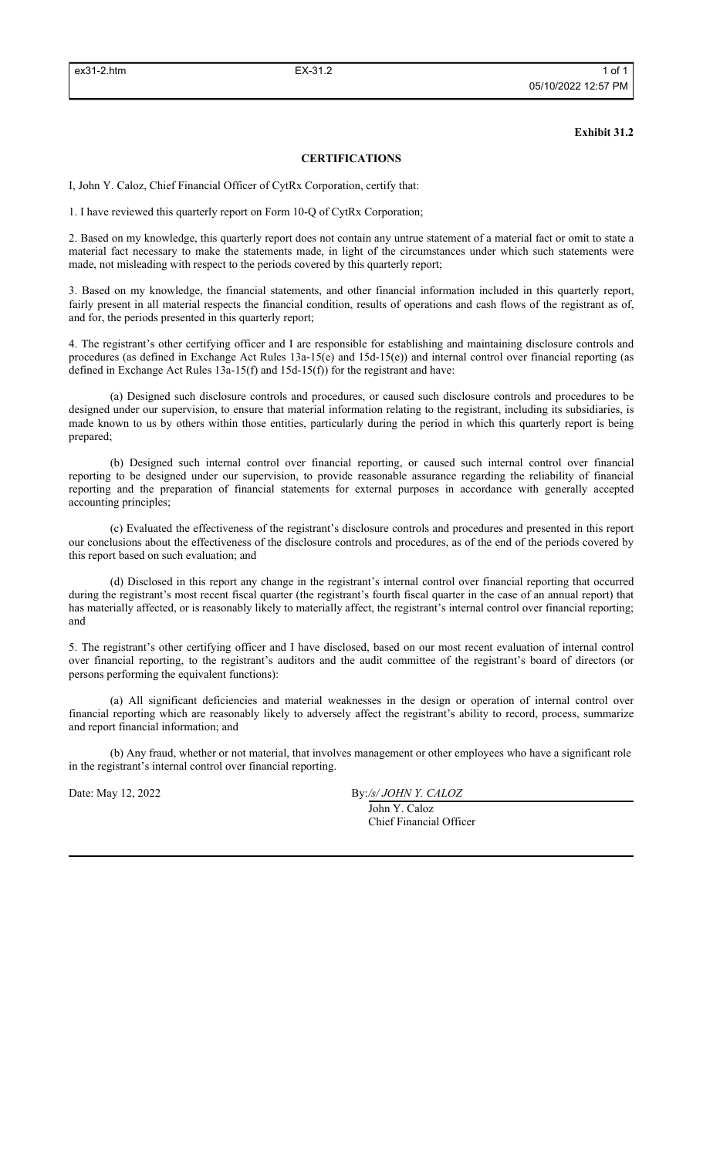**Exhibit 31.2**

#### **CERTIFICATIONS**

I, John Y. Caloz, Chief Financial Officer of CytRx Corporation, certify that:

1. I have reviewed this quarterly report on Form 10-Q of CytRx Corporation;

2. Based on my knowledge, this quarterly report does not contain any untrue statement of a material fact or omit to state a material fact necessary to make the statements made, in light of the circumstances under which such statements were made, not misleading with respect to the periods covered by this quarterly report;

3. Based on my knowledge, the financial statements, and other financial information included in this quarterly report, fairly present in all material respects the financial condition, results of operations and cash flows of the registrant as of, and for, the periods presented in this quarterly report;

4. The registrant's other certifying officer and I are responsible for establishing and maintaining disclosure controls and procedures (as defined in Exchange Act Rules 13a-15(e) and 15d-15(e)) and internal control over financial reporting (as defined in Exchange Act Rules 13a-15(f) and 15d-15(f)) for the registrant and have:

(a) Designed such disclosure controls and procedures, or caused such disclosure controls and procedures to be designed under our supervision, to ensure that material information relating to the registrant, including its subsidiaries, is made known to us by others within those entities, particularly during the period in which this quarterly report is being prepared;

(b) Designed such internal control over financial reporting, or caused such internal control over financial reporting to be designed under our supervision, to provide reasonable assurance regarding the reliability of financial reporting and the preparation of financial statements for external purposes in accordance with generally accepted accounting principles;

(c) Evaluated the effectiveness of the registrant's disclosure controls and procedures and presented in this report our conclusions about the effectiveness of the disclosure controls and procedures, as of the end of the periods covered by this report based on such evaluation; and

(d) Disclosed in this report any change in the registrant's internal control over financial reporting that occurred during the registrant's most recent fiscal quarter (the registrant's fourth fiscal quarter in the case of an annual report) that has materially affected, or is reasonably likely to materially affect, the registrant's internal control over financial reporting; and

5. The registrant's other certifying officer and I have disclosed, based on our most recent evaluation of internal control over financial reporting, to the registrant's auditors and the audit committee of the registrant's board of directors (or persons performing the equivalent functions):

(a) All significant deficiencies and material weaknesses in the design or operation of internal control over financial reporting which are reasonably likely to adversely affect the registrant's ability to record, process, summarize and report financial information; and

(b) Any fraud, whether or not material, that involves management or other employees who have a significant role in the registrant's internal control over financial reporting.

Date: May 12, 2022 **By:**/s/ JOHN Y. CALOZ

John Y. Caloz Chief Financial Officer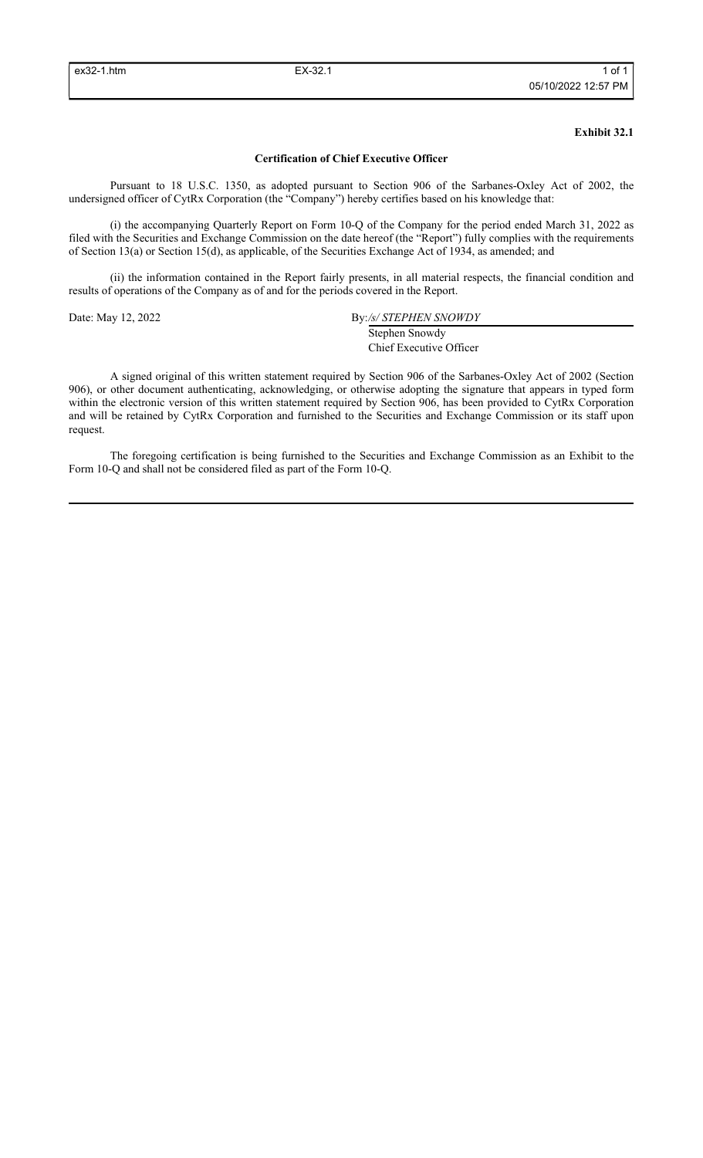**Exhibit 32.1**

#### **Certification of Chief Executive Officer**

Pursuant to 18 U.S.C. 1350, as adopted pursuant to Section 906 of the Sarbanes-Oxley Act of 2002, the undersigned officer of CytRx Corporation (the "Company") hereby certifies based on his knowledge that:

(i) the accompanying Quarterly Report on Form 10-Q of the Company for the period ended March 31, 2022 as filed with the Securities and Exchange Commission on the date hereof (the "Report") fully complies with the requirements of Section 13(a) or Section 15(d), as applicable, of the Securities Exchange Act of 1934, as amended; and

(ii) the information contained in the Report fairly presents, in all material respects, the financial condition and results of operations of the Company as of and for the periods covered in the Report.

Date: May 12, 2022 By:/s/ STEPHEN SNOWDY Stephen Snowdy Chief Executive Officer

A signed original of this written statement required by Section 906 of the Sarbanes-Oxley Act of 2002 (Section 906), or other document authenticating, acknowledging, or otherwise adopting the signature that appears in typed form within the electronic version of this written statement required by Section 906, has been provided to CytRx Corporation and will be retained by CytRx Corporation and furnished to the Securities and Exchange Commission or its staff upon request.

The foregoing certification is being furnished to the Securities and Exchange Commission as an Exhibit to the Form 10-Q and shall not be considered filed as part of the Form 10-Q.